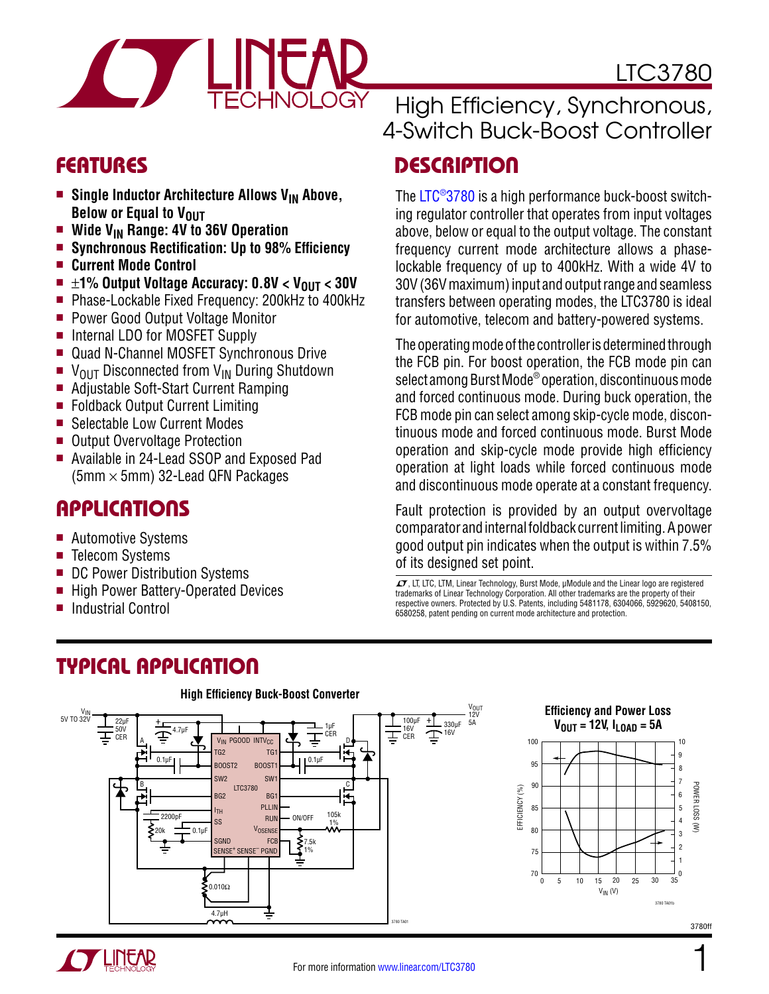

### Features

- **E** Single Inductor Architecture Allows V<sub>IN</sub> Above, **Below or Equal to VOUT**
- **Nide V<sub>IN</sub> Range: 4V to 36V Operation**<br>**Synchronous Rectification: Up to 98%**
- <sup>n</sup> **Synchronous Rectification: Up to 98% Efficiency**
- **E** Current Mode Control
- ±**1% Output Voltage Accuracy: 0.8V < V<sub>OUT</sub> < 30V<br>■ Phase-Lockable Fixed Frequency: 200kHz to 400kH**
- Phase-Lockable Fixed Frequency: 200kHz to 400kHz
- **Power Good Output Voltage Monitor**
- Internal LDO for MOSFET Supply
- Quad N-Channel MOSFET Synchronous Drive
- $\blacksquare$  V<sub>OUT</sub> Disconnected from V<sub>IN</sub> During Shutdown
- Adjustable Soft-Start Current Ramping
- Foldback Output Current Limiting
- Selectable Low Current Modes
- Output Overvoltage Protection
- Available in 24-Lead SSOP and Exposed Pad (5mm  $\times$  5mm) 32-Lead QFN Packages

### Applications

- Automotive Systems
- $\blacksquare$  Telecom Systems
- DC Power Distribution Systems
- High Power Battery-Operated Devices
- Industrial Control

# Typical Application

#### **High Efficiency Buck-Boost Converter** V<sub>OUT</sub><br>12V **Efficiency and Power Loss** V<sub>IN</sub><br>5V TO 32V  $+$  330<sub>µF</sub> 5A 100µF  $22$ ul + **VOUT = 12V, ILOAD = 5A** 1µF 16V 50V CER 4.7µF ≘  $\mathbf{\overline{\pm}}$  CER 16V ⋣ CER A v<sub>in</sub> pgood intv<sub>cc</sub> D 100 10 TG2 T<sub>G</sub><sup>1</sup> 9  $\frac{0.1 \mu F}{\mu}$   $\left| \begin{array}{cc} 0.1 \mu F & 0.1 \mu F \end{array} \right|$ 95 8 SW2 SW1 7 90 B C LTC3780 **DWER LOSS** POWER LOSS (W) EFFICIENCY (%) EFFICIENCY (%) BG2  $BG$ 6 łЬ PLLIN 85 5 ITH 105k RUN ON/OFF 2200pF SS 4 1%  $\hat{\mathbf{z}}$ 0.1µF VOSENSE 80 20k 3 SGND FCB 7.5k  $\overline{2}$ SENSE<sup>+</sup> SENSE<sup>-</sup> PGND 75 1% 1 70  $\Omega$ 0 15 25 5 10 20 30 35 0.010Ω VIN (V) 3780 TA01b 4.7µH



#### For more information [www.linear.com/LTC3780](http://www.linear.com/LTC3780)

3780 TA01

### High Efficiency, Synchronous, 4-Switch Buck-Boost Controller

# **DESCRIPTION**

The [LTC®3780](http://www.linear.com/LTC3780) is a high performance buck-boost switching regulator controller that operates from input voltages above, below or equal to the output voltage. The constant frequency current mode architecture allows a phaselockable frequency of up to 400kHz. With a wide 4V to 30V (36V maximum) input and output range and seamless transfers between operating modes, the LTC3780 is ideal for automotive, telecom and battery-powered systems.

The operating mode of the controller is determined through the FCB pin. For boost operation, the FCB mode pin can select among Burst Mode® operation, discontinuous mode and forced continuous mode. During buck operation, the FCB mode pin can select among skip-cycle mode, discontinuous mode and forced continuous mode. Burst Mode operation and skip-cycle mode provide high efficiency operation at light loads while forced continuous mode and discontinuous mode operate at a constant frequency.

Fault protection is provided by an output overvoltage comparator and internal foldback current limiting. A power good output pin indicates when the output is within 7.5% of its designed set point.

 $LT$ , LT, LTC, LTM, Linear Technology, Burst Mode,  $\mu$ Module and the Linear logo are registered trademarks of Linear Technology Corporation. All other trademarks are the property of their respective owners. Protected by U.S. Patents, including 5481178, 6304066, 5929620, 5408150, 6580258, patent pending on current mode architecture and protection.

1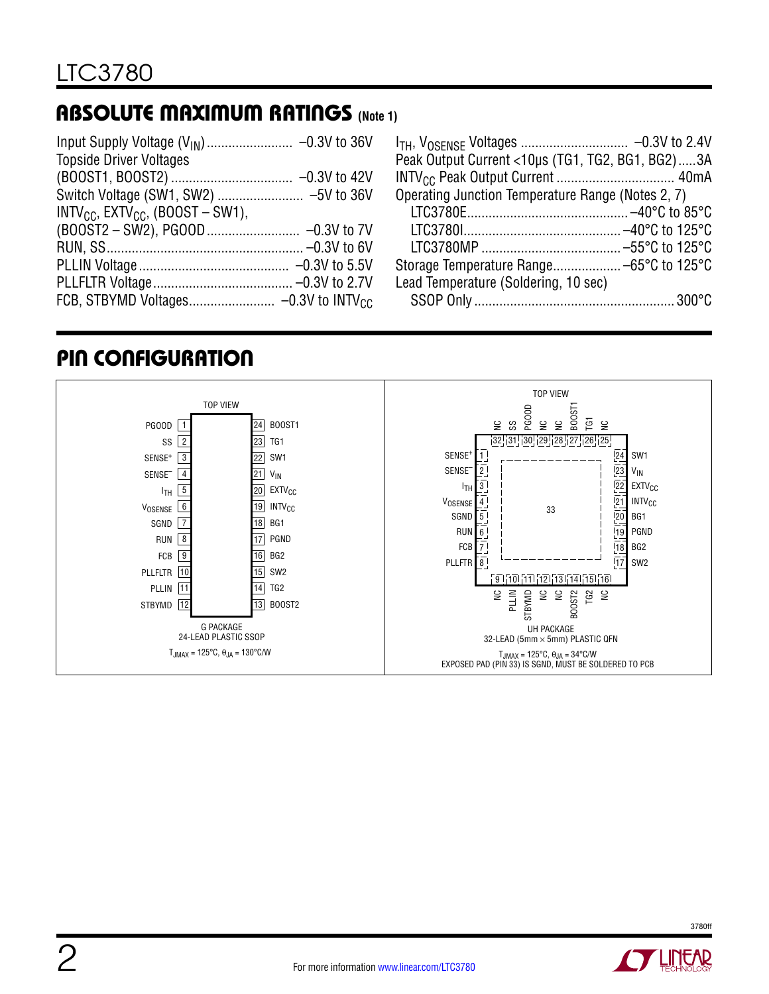### Absolute Maximum Ratings **(Note 1)**

| <b>Topside Driver Voltages</b>              |  |
|---------------------------------------------|--|
|                                             |  |
|                                             |  |
| $INTV_{CC}$ , $EXTV_{CC}$ , $(BOOST-SW1)$ , |  |
|                                             |  |
|                                             |  |
|                                             |  |
|                                             |  |
|                                             |  |

| Peak Output Current <10µs (TG1, TG2, BG1, BG2)3A  |  |
|---------------------------------------------------|--|
|                                                   |  |
| Operating Junction Temperature Range (Notes 2, 7) |  |
|                                                   |  |
|                                                   |  |
|                                                   |  |
|                                                   |  |
| Lead Temperature (Soldering, 10 sec)              |  |
|                                                   |  |

### Pin Configuration



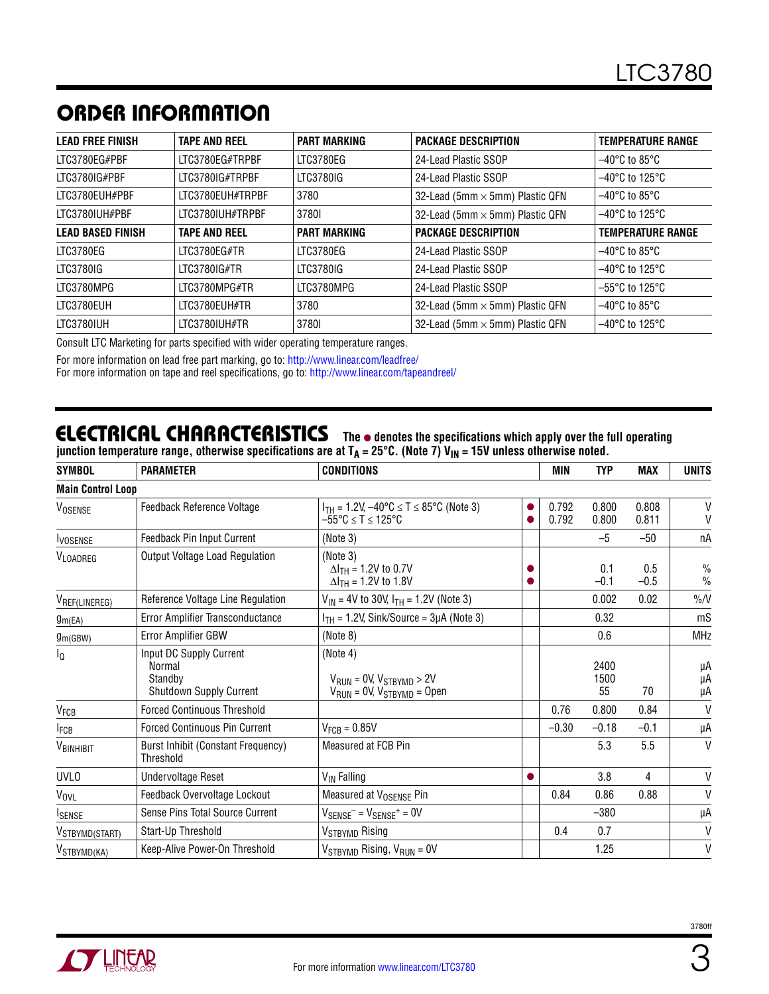# ORDER INFORMATION

| <b>LEAD FREE FINISH</b>  | <b>TAPE AND REEL</b> | <b>PART MARKING</b> | <b>PACKAGE DESCRIPTION</b>             | <b>TEMPERATURE RANGE</b>            |
|--------------------------|----------------------|---------------------|----------------------------------------|-------------------------------------|
| LTC3780EG#PBF            | LTC3780EG#TRPBF      | LTC3780EG           | 24-Lead Plastic SSOP                   | $-40^{\circ}$ C to 85 $^{\circ}$ C  |
| LTC3780IG#PBF            | LTC3780IG#TRPBF      | LTC3780IG           | 24-Lead Plastic SSOP                   | $-40^{\circ}$ C to 125 $^{\circ}$ C |
| LTC3780EUH#PBF           | LTC3780EUH#TRPBF     | 3780                | 32-Lead (5mm $\times$ 5mm) Plastic QFN | $-40^{\circ}$ C to 85°C             |
| LTC3780IUH#PBF           | LTC3780IUH#TRPBF     | 37801               | 32-Lead (5mm × 5mm) Plastic QFN        | $-40^{\circ}$ C to 125 $^{\circ}$ C |
| <b>LEAD BASED FINISH</b> | <b>TAPE AND REEL</b> | <b>PART MARKING</b> | <b>PACKAGE DESCRIPTION</b>             | <b>TEMPERATURE RANGE</b>            |
| LTC3780EG                | LTC3780EG#TR         | LTC3780EG           | 24-Lead Plastic SSOP                   | $-40^{\circ}$ C to 85 $^{\circ}$ C  |
| LTC3780IG                | LTC3780IG#TR         | LTC3780IG           | 24-Lead Plastic SSOP                   | $-40^{\circ}$ C to 125 $^{\circ}$ C |
| LTC3780MPG               | LTC3780MPG#TR        | LTC3780MPG          | 24-Lead Plastic SSOP                   | $-55^{\circ}$ C to 125 $^{\circ}$ C |
| LTC3780EUH               | LTC3780EUH#TR        | 3780                | 32-Lead (5mm $\times$ 5mm) Plastic QFN | $-40^{\circ}$ C to 85°C             |
| LTC3780IUH               | LTC3780IUH#TR        | 37801               | 32-Lead (5mm × 5mm) Plastic QFN        | $-40^{\circ}$ C to 125 $^{\circ}$ C |

Consult LTC Marketing for parts specified with wider operating temperature ranges.

For more information on lead free part marking, go to: http://www.linear.com/leadfree/

For more information on tape and reel specifications, go to: http://www.linear.com/tapeandreel/

### **ELECTRICAL CHARACTERISTICS** The  $\bullet$  denotes the specifications which apply over the full operating

junction temperature range, otherwise specifications are at T<sub>A</sub> = 25°C. (Note 7) V<sub>IN</sub> = 15V unless otherwise noted.

| <b>SYMBOL</b>            | <b>PARAMETER</b>                                                        | <b>CONDITIONS</b>                                                                      |           | <b>MIN</b>     | <b>TYP</b>         | <b>MAX</b>     | <b>UNITS</b>          |
|--------------------------|-------------------------------------------------------------------------|----------------------------------------------------------------------------------------|-----------|----------------|--------------------|----------------|-----------------------|
| <b>Main Control Loop</b> |                                                                         |                                                                                        |           |                |                    |                |                       |
| VOSENSE                  | Feedback Reference Voltage                                              | $I_{TH}$ = 1.2V, $-40^{\circ}C \le T \le 85^{\circ}C$ (Note 3)<br>–55°C ≤ T ≤ 125°C    | 0         | 0.792<br>0.792 | 0.800<br>0.800     | 0.808<br>0.811 | V<br>V                |
| <b>IVOSENSE</b>          | <b>Feedback Pin Input Current</b>                                       | (Note 3)                                                                               |           |                | $-5$               | $-50$          | пA                    |
| VLOADREG                 | Output Voltage Load Regulation                                          | (Note 3)<br>$\Delta I_{TH}$ = 1.2V to 0.7V<br>$\Delta I_{TH} = 1.2V$ to 1.8V           |           |                | 0.1<br>$-0.1$      | 0.5<br>$-0.5$  | $\%$<br>$\frac{0}{0}$ |
| VREF(LINEREG)            | Reference Voltage Line Regulation                                       | $V_{IN}$ = 4V to 30V, $I_{TH}$ = 1.2V (Note 3)                                         |           |                | 0.002              | 0.02           | $\%N$                 |
| g <sub>m</sub> (EA)      | Error Amplifier Transconductance                                        | $I_{TH}$ = 1.2V, Sink/Source = 3µA (Note 3)                                            |           |                | 0.32               |                | mS                    |
| $g_{m(GBW)}$             | Error Amplifier GBW                                                     | (Note 8)                                                                               |           |                | 0.6                |                | <b>MHz</b>            |
| l <sub>Q</sub>           | Input DC Supply Current<br>Normal<br>Standbv<br>Shutdown Supply Current | (Note 4)<br>$V_{RUN} = 0V$ , $V_{STBYMD} > 2V$<br>$V_{RUN} = 0V$ , $V_{STBYMD} = Open$ |           |                | 2400<br>1500<br>55 | 70             | μA<br>μA<br>μA        |
| $V_{FCB}$                | <b>Forced Continuous Threshold</b>                                      |                                                                                        |           | 0.76           | 0.800              | 0.84           | V                     |
| <b>I</b> FCB             | <b>Forced Continuous Pin Current</b>                                    | $V_{FCR} = 0.85V$                                                                      |           | $-0.30$        | $-0.18$            | $-0.1$         | μA                    |
| VBINHIBIT                | <b>Burst Inhibit (Constant Frequency)</b><br>Threshold                  | Measured at FCB Pin                                                                    |           |                | 5.3                | 5.5            | V                     |
| <b>UVLO</b>              | <b>Undervoltage Reset</b>                                               | V <sub>IN</sub> Falling                                                                | $\bullet$ |                | 3.8                | 4              | V                     |
| V <sub>OVL</sub>         | Feedback Overvoltage Lockout                                            | Measured at V <sub>OSENSE</sub> Pin                                                    |           | 0.84           | 0.86               | 0.88           | V                     |
| <b>ISENSE</b>            | Sense Pins Total Source Current                                         | $V_{\text{SENSE}}$ = $V_{\text{SENSE}}$ = 0V                                           |           |                | $-380$             |                | μA                    |
| VSTBYMD(START)           | Start-Up Threshold                                                      | V <sub>STBYMD</sub> Rising                                                             |           | 0.4            | 0.7                |                | $\mathsf{V}$          |
| V <sub>STBYMD</sub> (KA) | Keep-Alive Power-On Threshold                                           | $V_{STBYMD}$ Rising, $V_{RUN} = 0V$                                                    |           |                | 1.25               |                | V                     |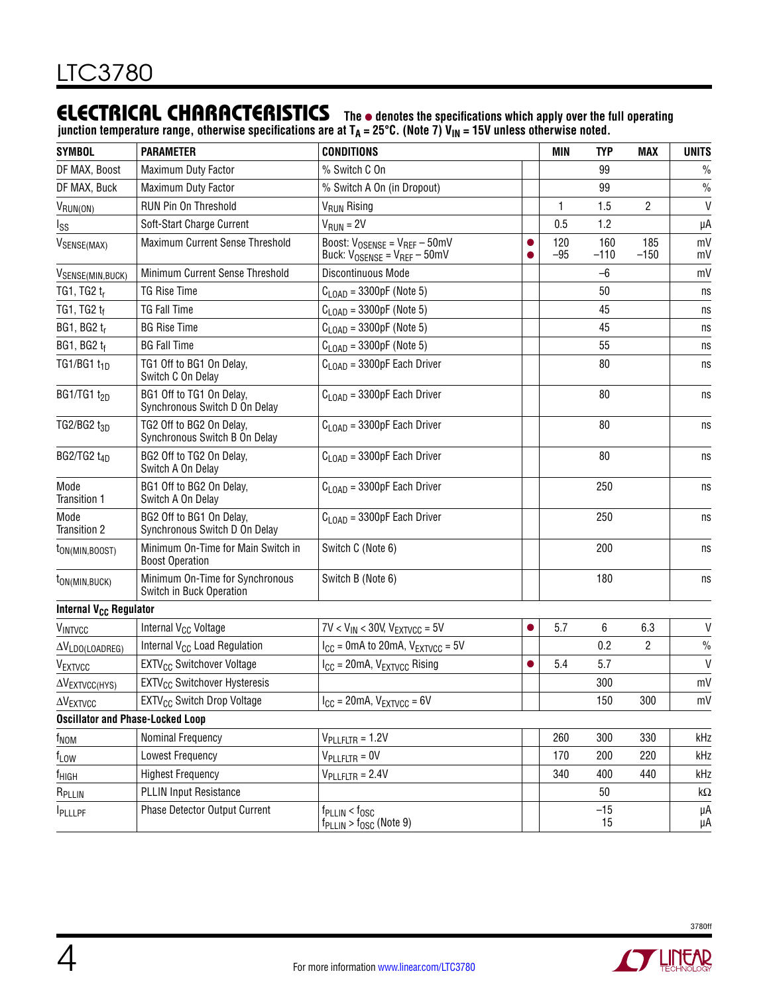### **ELECTRICAL CHARACTERISTICS** The  $\bullet$  denotes the specifications which apply over the full operating

junction temperature range, otherwise specifications are at T<sub>A</sub> = 25°C. (Note 7) V<sub>IN</sub> = 15V unless otherwise noted.

| <b>SYMBOL</b>                           | <b>PARAMETER</b>                                             | <b>CONDITIONS</b>                                                                     |           | <b>MIN</b>   | <b>TYP</b>    | <b>MAX</b>     | <b>UNITS</b>  |
|-----------------------------------------|--------------------------------------------------------------|---------------------------------------------------------------------------------------|-----------|--------------|---------------|----------------|---------------|
| DF MAX, Boost                           | Maximum Duty Factor                                          | % Switch C On                                                                         |           |              | 99            |                | $\frac{0}{0}$ |
| DF MAX, Buck                            | Maximum Duty Factor                                          | % Switch A On (in Dropout)                                                            |           |              | 99            |                | $\frac{0}{0}$ |
| VRUN(ON)                                | RUN Pin On Threshold                                         | V <sub>RUN</sub> Rising                                                               |           | 1            | 1.5           | $\overline{c}$ | $\mathsf{V}$  |
| lss                                     | Soft-Start Charge Current                                    | $VRUN = 2V$                                                                           |           | 0.5          | 1.2           |                | μA            |
| VSENSE(MAX)                             | Maximum Current Sense Threshold                              | Boost: $V_{OSENSE} = V_{REF} - 50$ mV<br>Buck: $V_{OSENSE} = V_{REF} - 50$ mV         |           | 120<br>$-95$ | 160<br>$-110$ | 185<br>$-150$  | mV<br>mV      |
| V <sub>SENSE(MIN,BUCK)</sub>            | Minimum Current Sense Threshold                              | Discontinuous Mode                                                                    |           |              | $-6$          |                | mV            |
| TG1, TG2 tr                             | <b>TG Rise Time</b>                                          | $C_{\text{LOAD}}$ = 3300pF (Note 5)                                                   |           |              | 50            |                | ns            |
| TG1, TG2 tf                             | <b>TG Fall Time</b>                                          | $C_{\text{LOAD}}$ = 3300pF (Note 5)                                                   |           |              | 45            |                | ns            |
| BG1, BG2 $t_r$                          | <b>BG Rise Time</b>                                          | $C_{\text{LOAD}}$ = 3300pF (Note 5)                                                   |           |              | 45            |                | ns            |
| BG1, BG2 tf                             | <b>BG Fall Time</b>                                          | $C_{\text{LOAD}} = 3300pF$ (Note 5)                                                   |           |              | 55            |                | ns            |
| TG1/BG1 $t_{1D}$                        | TG1 Off to BG1 On Delay,<br>Switch C On Delay                | $C_{\text{LOAD}}$ = 3300pF Each Driver                                                |           |              | 80            |                | ns            |
| BG1/TG1 $t_{2D}$                        | BG1 Off to TG1 On Delay,<br>Synchronous Switch D On Delay    | $C_{\text{LOAD}}$ = 3300pF Each Driver                                                |           |              | 80            |                | ns            |
| TG2/BG2 t <sub>3D</sub>                 | TG2 Off to BG2 On Delay,<br>Synchronous Switch B On Delay    | $C_{\text{LOAD}}$ = 3300pF Each Driver                                                |           |              | 80            |                | ns            |
| BG2/TG2 $t_{4D}$                        | BG2 Off to TG2 On Delay,<br>Switch A On Delay                | $C_{\text{LOAD}}$ = 3300pF Each Driver                                                |           |              | 80            |                | ns            |
| Mode<br>Transition 1                    | BG1 Off to BG2 On Delay,<br>Switch A On Delay                | $C_{\text{LOAD}}$ = 3300pF Each Driver                                                |           |              | 250           |                | ns            |
| Mode<br>Transition 2                    | BG2 Off to BG1 On Delay,<br>Synchronous Switch D On Delay    | $C_{\text{LOAD}}$ = 3300pF Each Driver                                                |           |              | 250           |                | ns            |
| t <sub>ON</sub> (MIN, BOOST)            | Minimum On-Time for Main Switch in<br><b>Boost Operation</b> | Switch C (Note 6)                                                                     |           |              | 200           |                | ns            |
| $t_{ON(MIN,BUCK)}$                      | Minimum On-Time for Synchronous<br>Switch in Buck Operation  | Switch B (Note 6)                                                                     |           |              | 180           |                | ns            |
| Internal V <sub>CC</sub> Regulator      |                                                              |                                                                                       |           |              |               |                |               |
| VINTVCC                                 | Internal V <sub>CC</sub> Voltage                             | $7V < V_{IN} < 30V$ , $V_{EXTVCC} = 5V$                                               | $\bullet$ | 5.7          | 6             | 6.3            | $\mathsf{V}$  |
| $\Delta V_{LDO(LOADREG)}$               | Internal V <sub>CC</sub> Load Regulation                     | $I_{CC}$ = 0mA to 20mA, $V_{EXTVCC}$ = 5V                                             |           |              | 0.2           | 2              | $\frac{0}{0}$ |
| VEXTVCC                                 | EXTV <sub>CC</sub> Switchover Voltage                        | $I_{CC} = 20mA$ , $V_{EXTVCC}$ Rising                                                 | $\bullet$ | 5.4          | 5.7           |                | $\vee$        |
| $\Delta V$ EXTVCC(HYS)                  | EXTV <sub>CC</sub> Switchover Hysteresis                     |                                                                                       |           |              | 300           |                | mV            |
| $\Delta V$ EXTVCC                       | EXTV <sub>CC</sub> Switch Drop Voltage                       | $I_{CC} = 20mA$ , $V_{EXTVCC} = 6V$                                                   |           |              | 150           | 300            | mV            |
| <b>Oscillator and Phase-Locked Loop</b> |                                                              |                                                                                       |           |              |               |                |               |
| f <sub>NOM</sub>                        | Nominal Frequency                                            | $V_{\text{PLLFLTR}} = 1.2V$                                                           |           | 260          | 300           | 330            | kHz           |
| $f_{LOW}$                               | Lowest Frequency                                             | $V_{\text{PLLFLTR}} = 0V$                                                             |           | 170          | 200           | 220            | kHz           |
| f <sub>HIGH</sub>                       | <b>Highest Frequency</b>                                     | $V_{\text{PLLFLTR}} = 2.4V$                                                           |           | 340          | 400           | 440            | kHz           |
| R <sub>PLLIN</sub>                      | <b>PLLIN Input Resistance</b>                                |                                                                                       |           |              | 50            |                | $k\Omega$     |
| <b>I</b> PLLLPF                         | Phase Detector Output Current                                | $f_{\text{PLLIN}} < f_{\text{OSC}}$<br>$f_{\text{PLLIN}}$ > $f_{\text{OSC}}$ (Note 9) |           |              | $-15$<br>15   |                | μA<br>μA      |

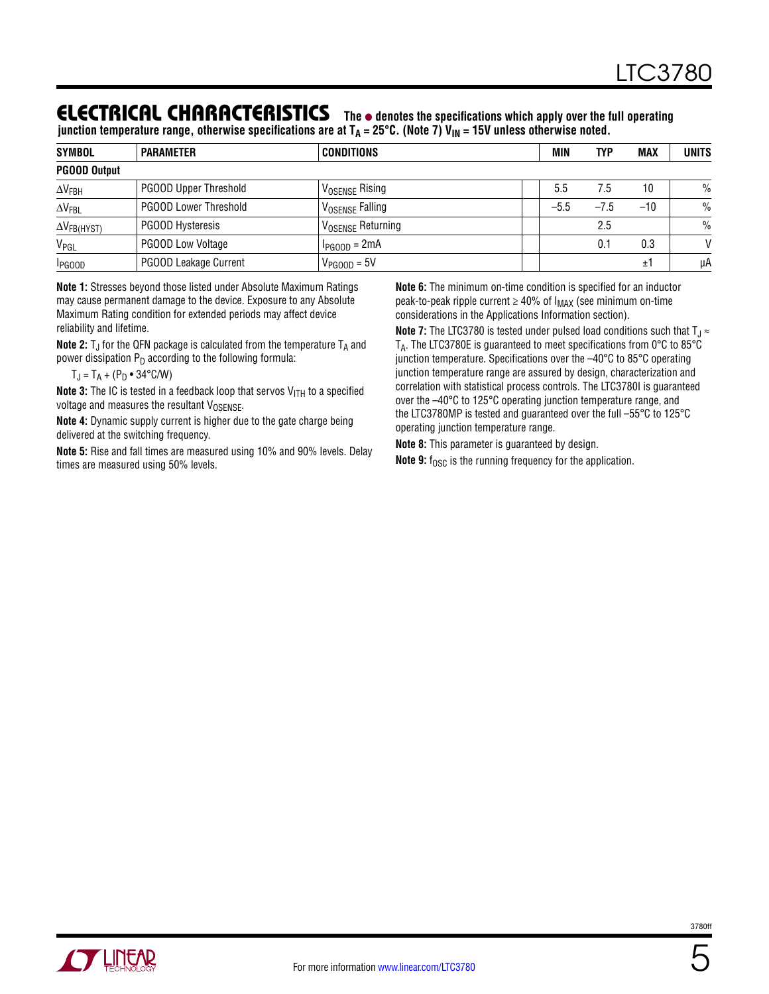### **ELECTRICAL CHARACTERISTICS** The  $\bullet$  denotes the specifications which apply over the full operating

junction temperature range, otherwise specifications are at T<sub>A</sub> = 25°C. (Note 7) V<sub>IN</sub> = 15V unless otherwise noted.

| <b>SYMBOL</b>         | <b>PARAMETER</b>             | CONDITIONS                      | <b>MIN</b> | TYP    | <b>MAX</b> | <b>UNITS</b> |
|-----------------------|------------------------------|---------------------------------|------------|--------|------------|--------------|
| <b>PGOOD Output</b>   |                              |                                 |            |        |            |              |
| $\Delta V_{FBH}$      | <b>PGOOD Upper Threshold</b> | <b>VOSENSE Rising</b>           | 5.5        | 7.5    | 10         | $\%$         |
| $\Delta V_{FBL}$      | <b>PGOOD Lower Threshold</b> | ' V <sub>OSENSE</sub> Falling   | $-5.5$     | $-7.5$ | $-10$      | $\%$         |
| $\Delta V_{FB(HYST)}$ | <b>PGOOD Hysteresis</b>      | ' V <sub>OSENSE</sub> Returning |            | 2.5    |            | $\%$         |
| V <sub>PGL</sub>      | <b>PGOOD Low Voltage</b>     | $I_{PGOOD} = 2mA$               |            | 0.1    | 0.3        | $\mathsf{V}$ |
| <b>I</b> PGOOD        | PGOOD Leakage Current        | $V_{PGOOD} = 5V$                |            |        | ±1         | μA           |

**Note 1:** Stresses beyond those listed under Absolute Maximum Ratings may cause permanent damage to the device. Exposure to any Absolute Maximum Rating condition for extended periods may affect device reliability and lifetime.

**Note 2:**  $T_J$  for the QFN package is calculated from the temperature  $T_A$  and power dissipation  $P_D$  according to the following formula:

 $T_{J} = T_{A} + (P_{D} \cdot 34^{\circ} C/W)$ 

**Note 3:** The IC is tested in a feedback loop that servos V<sub>ITH</sub> to a specified voltage and measures the resultant  $V_{OSENSE}$ .

**Note 4:** Dynamic supply current is higher due to the gate charge being delivered at the switching frequency.

**Note 5:** Rise and fall times are measured using 10% and 90% levels. Delay times are measured using 50% levels.

**Note 6:** The minimum on-time condition is specified for an inductor peak-to-peak ripple current  $\geq 40\%$  of  $I_{MAX}$  (see minimum on-time considerations in the Applications Information section).

**Note 7:** The LTC3780 is tested under pulsed load conditions such that  $T_J \approx$ TA. The LTC3780E is guaranteed to meet specifications from 0°C to 85°C junction temperature. Specifications over the –40°C to 85°C operating junction temperature range are assured by design, characterization and correlation with statistical process controls. The LTC3780I is guaranteed over the –40°C to 125°C operating junction temperature range, and the LTC3780MP is tested and guaranteed over the full –55°C to 125°C operating junction temperature range.

**Note 8:** This parameter is guaranteed by design.

**Note 9:** f<sub>OSC</sub> is the running frequency for the application.



3780f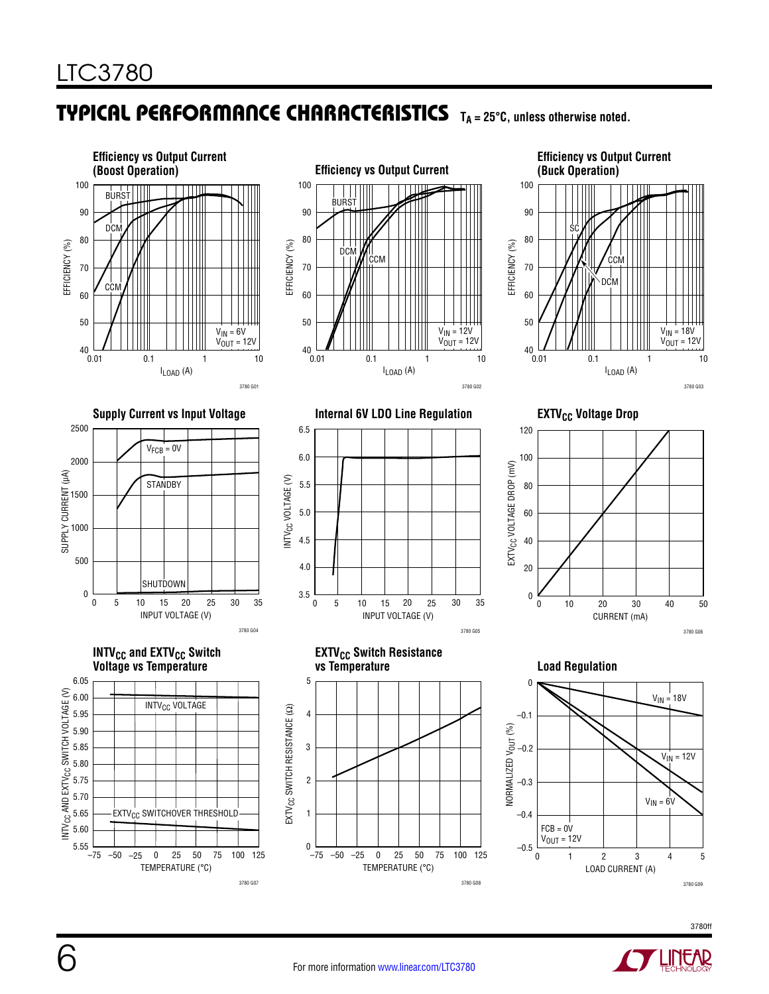### TYPICAL PERFORMANCE CHARACTERISTICS TA=25°C, unless otherwise noted.





**Efficiency vs Output Current (Buck Operation)** 100 90 SC 80 EFFICIENCY (%) EFFICIENCY (%) **CCM** 70 DCM 60 50  $V_{IN}$  = 18V  $V_{\text{OUT}}^{\text{max}}$  = 12V **⊥**<br>0.01 0.1 1 10  $I_{LOAD}$  (A)

3780 G03

















**Load Regulation** 



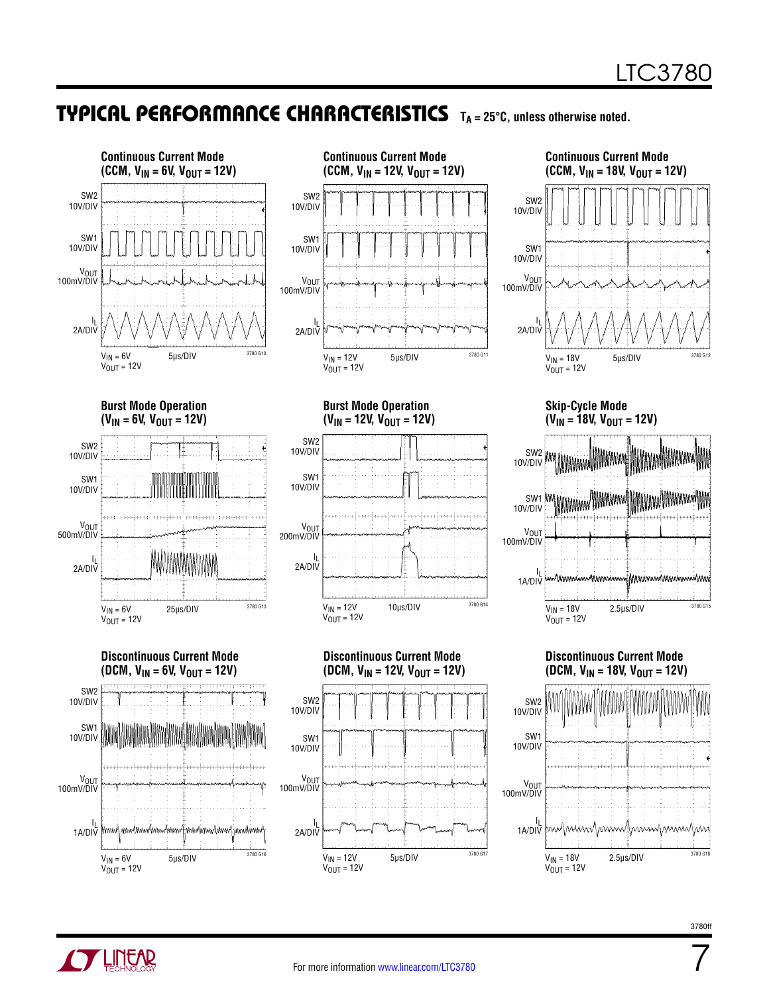3780 G12

3780 G15

MMMmmmMmmmmmm

### TYPICAL PERFORMANCE CHARACTERISTICS TA=25°C, unless otherwise noted.



3780 G18

7

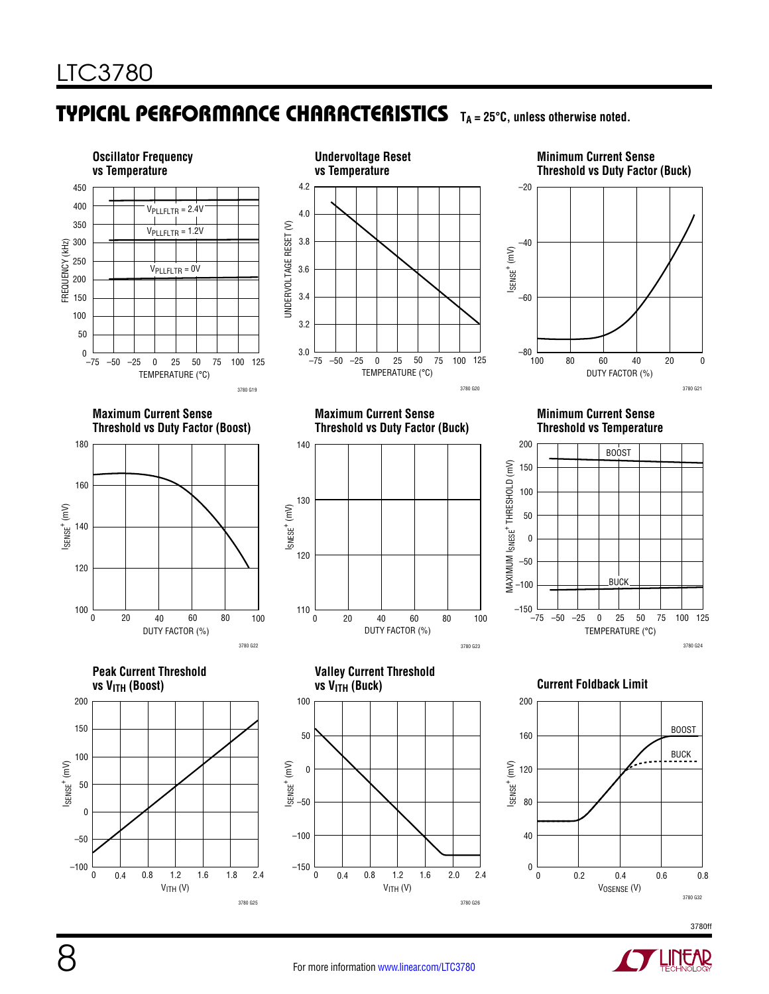## TYPICAL PERFORMANCE CHARACTERISTICS T<sub>A</sub> = 25°C, unless otherwise noted.



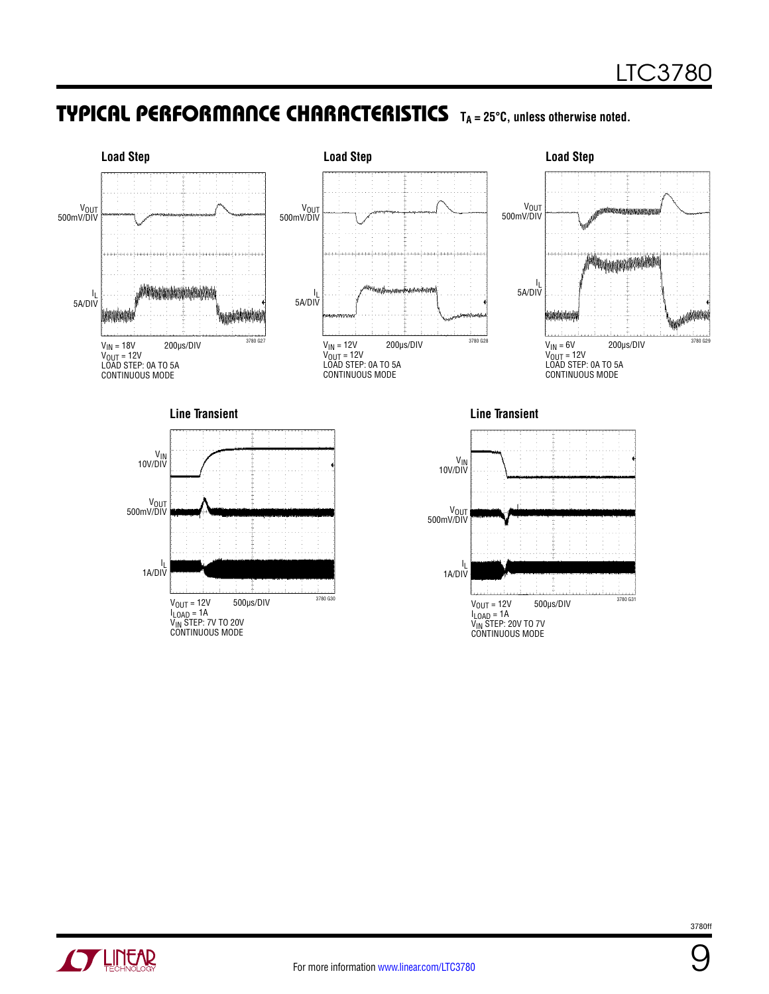### TYPICAL PERFORMANCE CHARACTERISTICS TA=25°C, unless otherwise noted.





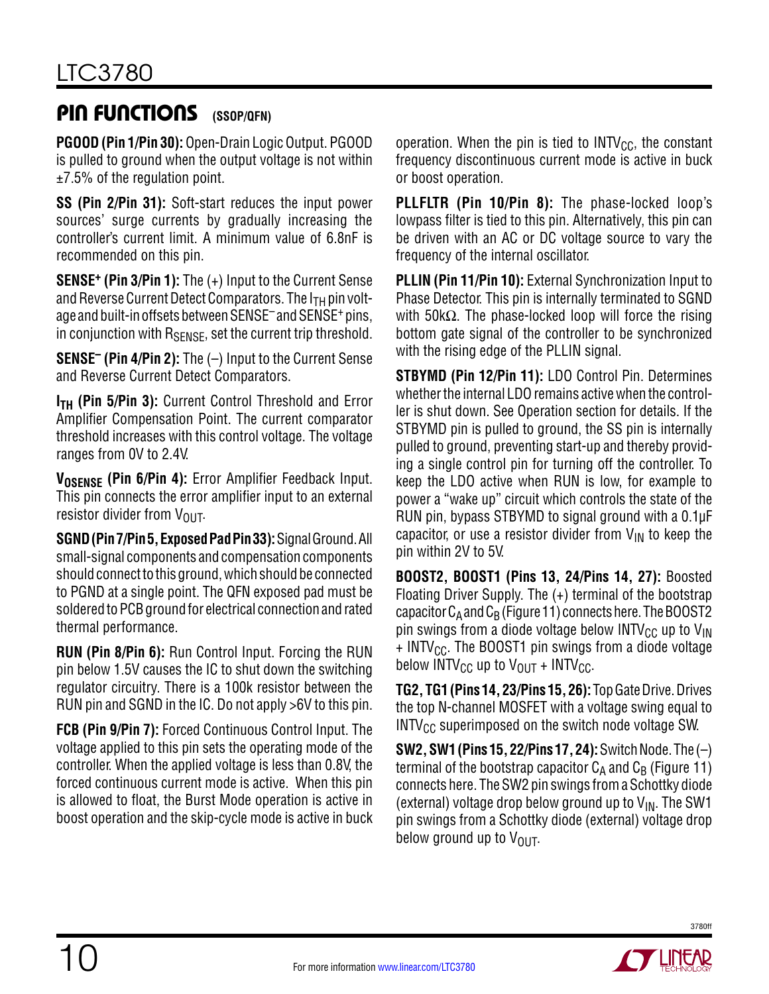### **PIN FUNCTIONS** (SSOP/QFN)

**PGOOD (Pin 1/Pin 30):** Open-Drain Logic Output. PGOOD is pulled to ground when the output voltage is not within  $±7.5%$  of the regulation point.

**SS (Pin 2/Pin 31):** Soft-start reduces the input power sources' surge currents by gradually increasing the controller's current limit. A minimum value of 6.8nF is recommended on this pin.

**SENSE+ (Pin 3/Pin 1):** The (+) Input to the Current Sense and Reverse Current Detect Comparators. The  $I_{TH}$  pin voltage and built-in offsets between SENSE<sup>-</sup> and SENSE<sup>+</sup> pins, in conjunction with  $R_{\text{SENSE}}$ , set the current trip threshold.

**SENSE– (Pin 4/Pin 2):** The (–) Input to the Current Sense and Reverse Current Detect Comparators.

**I<sub>TH</sub>** (Pin 5/Pin 3): Current Control Threshold and Error Amplifier Compensation Point. The current comparator threshold increases with this control voltage. The voltage ranges from 0V to 2.4V.

V<sub>OSENSE</sub> (Pin 6/Pin 4): Error Amplifier Feedback Input. This pin connects the error amplifier input to an external resistor divider from  $V_{OIII}$ .

**SGND (Pin 7/Pin 5, Exposed Pad Pin 33):** Signal Ground. All small-signal components and compensation components should connect to this ground, which should be connected to PGND at a single point. The QFN exposed pad must be soldered to PCB ground for electrical connection and rated thermal performance.

**RUN (Pin 8/Pin 6):** Run Control Input. Forcing the RUN pin below 1.5V causes the IC to shut down the switching regulator circuitry. There is a 100k resistor between the RUN pin and SGND in the IC. Do not apply >6V to this pin.

**FCB (Pin 9/Pin 7):** Forced Continuous Control Input. The voltage applied to this pin sets the operating mode of the controller. When the applied voltage is less than 0.8V, the forced continuous current mode is active. When this pin is allowed to float, the Burst Mode operation is active in boost operation and the skip-cycle mode is active in buck

operation. When the pin is tied to  $INTV_{CC}$ , the constant frequency discontinuous current mode is active in buck or boost operation.

**PLLFLTR (Pin 10/Pin 8):** The phase-locked loop's lowpass filter is tied to this pin. Alternatively, this pin can be driven with an AC or DC voltage source to vary the frequency of the internal oscillator.

**PLLIN (Pin 11/Pin 10):** External Synchronization Input to Phase Detector. This pin is internally terminated to SGND with 50kΩ. The phase-locked loop will force the rising bottom gate signal of the controller to be synchronized with the rising edge of the PLLIN signal.

**STBYMD (Pin 12/Pin 11):** LDO Control Pin. Determines whether the internal LDO remains active when the controller is shut down. See Operation section for details. If the STBYMD pin is pulled to ground, the SS pin is internally pulled to ground, preventing start-up and thereby providing a single control pin for turning off the controller. To keep the LDO active when RUN is low, for example to power a "wake up" circuit which controls the state of the RUN pin, bypass STBYMD to signal ground with a 0.1µF capacitor, or use a resistor divider from  $V_{IN}$  to keep the pin within 2V to 5V.

**BOOST2, BOOST1 (Pins 13, 24/Pins 14, 27):** Boosted Floating Driver Supply. The (+) terminal of the bootstrap capacitor  $C_A$  and  $C_B$  (Figure 11) connects here. The BOOST2 pin swings from a diode voltage below  $INTV_{CC}$  up to  $V_{IN}$  $+$  INTV<sub>CC</sub>. The BOOST1 pin swings from a diode voltage below INTV<sub>CC</sub> up to  $V_{\text{OUT}}$  + INTV<sub>CC</sub>.

**TG2, TG1 (Pins 14, 23/Pins 15, 26):** Top Gate Drive. Drives the top N-channel MOSFET with a voltage swing equal to  $INTV<sub>CC</sub>$  superimposed on the switch node voltage SW.

**SW2, SW1 (Pins 15, 22/Pins 17, 24):** Switch Node. The (–) terminal of the bootstrap capacitor  $C_A$  and  $C_B$  (Figure 11) connects here. The SW2 pin swings from a Schottky diode (external) voltage drop below ground up to  $V_{IN}$ . The SW1 pin swings from a Schottky diode (external) voltage drop below ground up to  $V_{\text{OUT}}$ .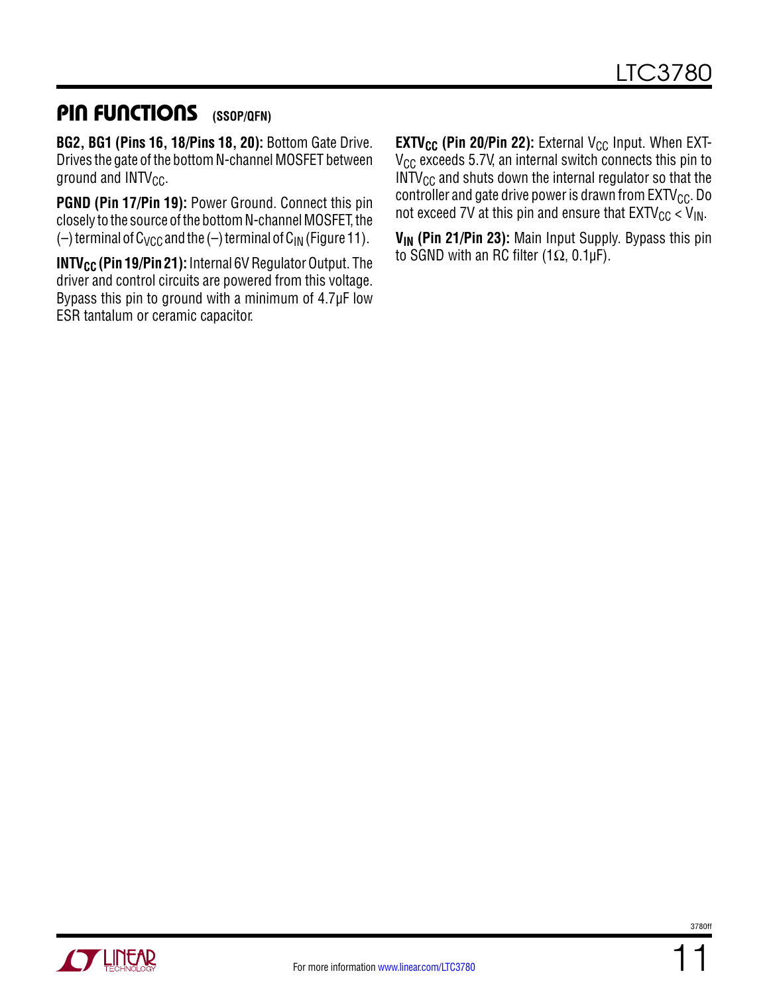### PIN FUNCTIONS **(SSOP/QFN)**

**BG2, BG1 (Pins 16, 18/Pins 18, 20):** Bottom Gate Drive. Drives the gate of the bottom N-channel MOSFET between ground and  $INTV_{CC}$ .

**PGND (Pin 17/Pin 19):** Power Ground. Connect this pin closely to the source of the bottom N-channel MOSFET, the (-) terminal of  $C_{VCC}$  and the (-) terminal of  $C_{IN}$  (Figure 11).

**INTV<sub>CC</sub>** (Pin 19/Pin 21): Internal 6V Regulator Output. The driver and control circuits are powered from this voltage. Bypass this pin to ground with a minimum of 4.7µF low ESR tantalum or ceramic capacitor.

**EXTV<sub>CC</sub>** (Pin 20/Pin 22): External V<sub>CC</sub> Input. When EXT- $V_{CC}$  exceeds 5.7V, an internal switch connects this pin to  $INTV_{CC}$  and shuts down the internal regulator so that the controller and gate drive power is drawn from  $EXTV_{CC}$ . Do not exceed 7V at this pin and ensure that  $EXTV_{CC}$  <  $V_{IN}$ .

V<sub>IN</sub> (Pin 21/Pin 23): Main Input Supply. Bypass this pin to SGND with an RC filter (1 $\Omega$ , 0.1µF).

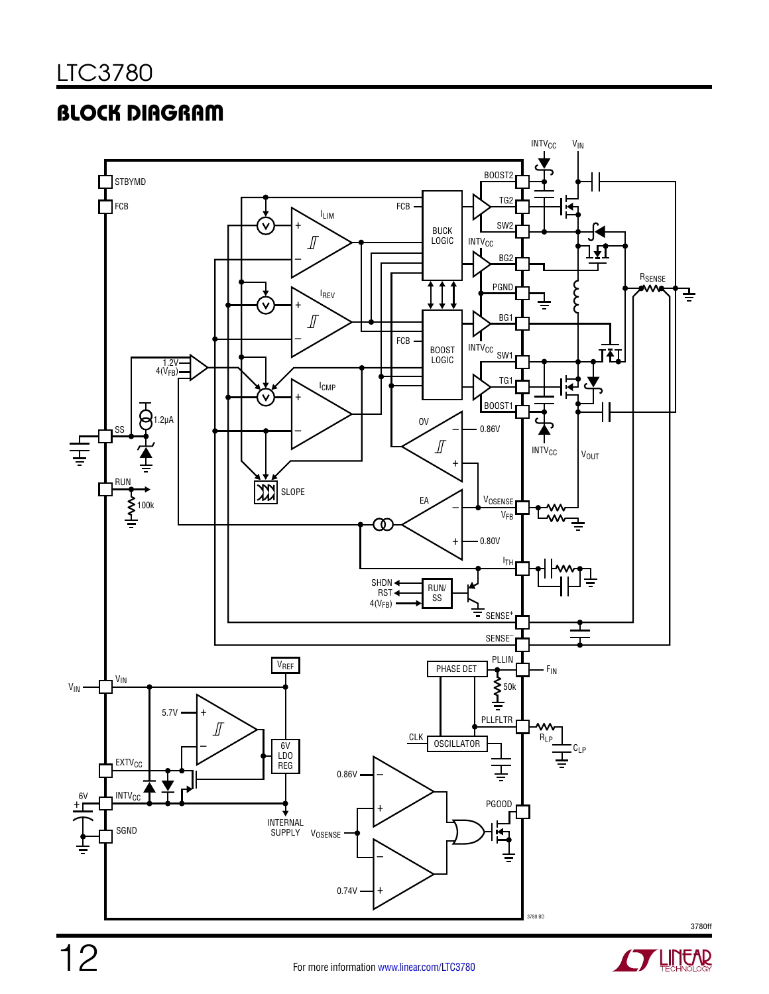# Block Diagram





**STARTED BY LINEAR**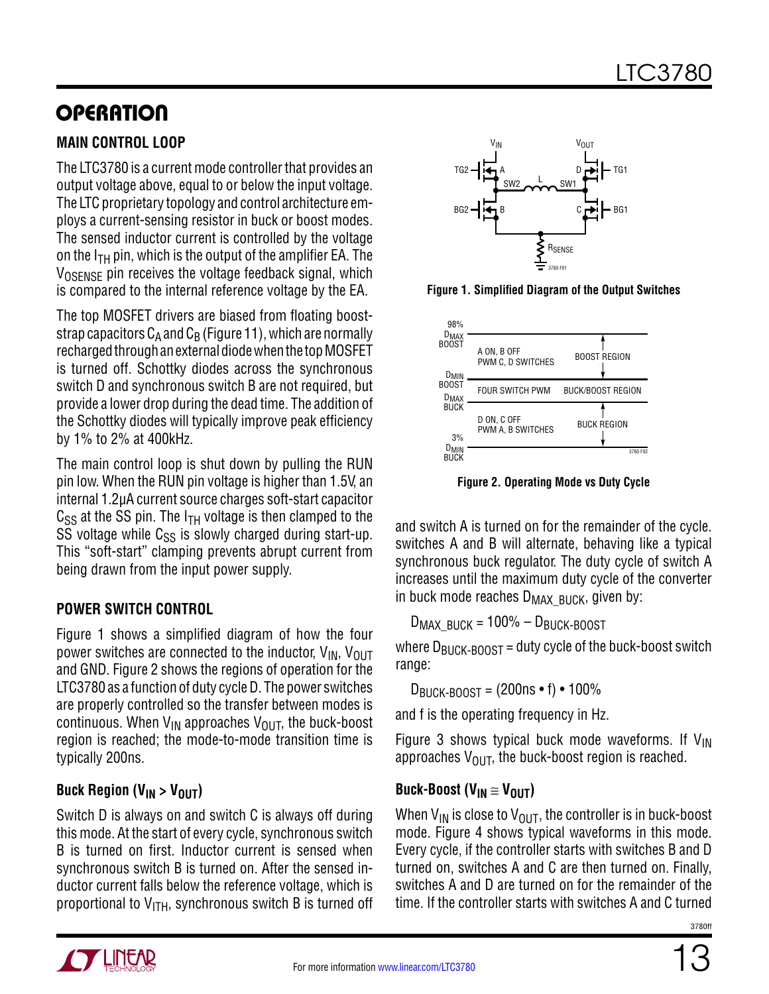# **OPERATION**

#### **Main Control Loop**

The LTC3780 is a current mode controller that provides an output voltage above, equal to or below the input voltage. The LTC proprietary topology and control architecture employs a current-sensing resistor in buck or boost modes. The sensed inductor current is controlled by the voltage on the  $I<sub>TH</sub>$  pin, which is the output of the amplifier EA. The V<sub>OSENSE</sub> pin receives the voltage feedback signal, which is compared to the internal reference voltage by the EA.

The top MOSFET drivers are biased from floating booststrap capacitors  $C_A$  and  $C_B$  (Figure 11), which are normally recharged through an external diode when the top MOSFET is turned off. Schottky diodes across the synchronous switch D and synchronous switch B are not required, but provide a lower drop during the dead time. The addition of the Schottky diodes will typically improve peak efficiency by 1% to 2% at 400kHz.

The main control loop is shut down by pulling the RUN pin low. When the RUN pin voltage is higher than 1.5V, an internal 1.2µA current source charges soft-start capacitor  $C_{SS}$  at the SS pin. The  $I_{TH}$  voltage is then clamped to the SS voltage while  $C_{SS}$  is slowly charged during start-up. This "soft-start" clamping prevents abrupt current from being drawn from the input power supply.

#### **Power switch Control**

Figure 1 shows a simplified diagram of how the four power switches are connected to the inductor,  $V_{IN}$ ,  $V_{OIII}$ and GND. Figure 2 shows the regions of operation for the LTC3780 as a function of duty cycle D. The power switches are properly controlled so the transfer between modes is continuous. When  $V_{IN}$  approaches  $V_{OIII}$ , the buck-boost region is reached; the mode-to-mode transition time is typically 200ns.

### Buck Region (V<sub>IN</sub> > V<sub>OUT</sub>)

Switch D is always on and switch C is always off during this mode. At the start of every cycle, synchronous switch B is turned on first. Inductor current is sensed when synchronous switch B is turned on. After the sensed inductor current falls below the reference voltage, which is proportional to  $V_{ITH}$ , synchronous switch B is turned off



**Figure 1. Simplified Diagram of the Output Switches**



**Figure 2. Operating Mode vs Duty Cycle**

and switch A is turned on for the remainder of the cycle. switches A and B will alternate, behaving like a typical synchronous buck regulator. The duty cycle of switch A increases until the maximum duty cycle of the converter in buck mode reaches  $D_{MAX}$   $B_{UCK}$ , given by:

 $D_{MAX-BIICK}$  = 100% –  $D_{BIICK-BOOST}$ 

where  $D_{\text{BUEK-BOOST}}$  = duty cycle of the buck-boost switch range:

 $D_{\text{BulCK-BOOST}} = (200 \text{ns} \cdot \text{f}) \cdot 100\%$ 

and f is the operating frequency in Hz.

Figure 3 shows typical buck mode waveforms. If  $V_{IN}$ approaches  $V_{\text{OUT}}$ , the buck-boost region is reached.

### **Buck-Boost (V<sub>IN</sub>**  $\cong$  **V<sub>OUT</sub>)**

When  $V_{IN}$  is close to  $V_{OUT}$ , the controller is in buck-boost mode. Figure 4 shows typical waveforms in this mode. Every cycle, if the controller starts with switches B and D turned on, switches A and C are then turned on. Finally, switches A and D are turned on for the remainder of the time. If the controller starts with switches A and C turned

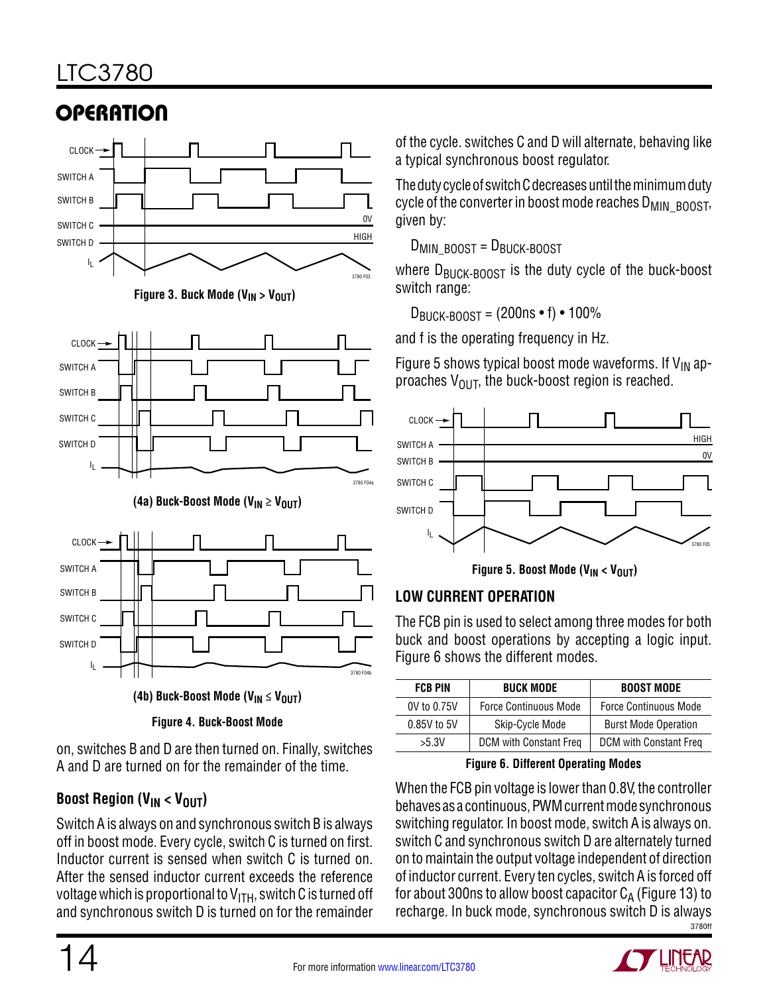# LTC3780

# **OPERATION**





 $I_L$  3780 F04b

**Figure 4. Buck-Boost Mode**

on, switches B and D are then turned on. Finally, switches A and D are turned on for the remainder of the time.

### **Boost Region (V<sub>IN</sub> < V<sub>OUT</sub>)**

Switch A is always on and synchronous switch B is always off in boost mode. Every cycle, switch C is turned on first. Inductor current is sensed when switch C is turned on. After the sensed inductor current exceeds the reference voltage which is proportional to  $V_{\text{ITH}}$ , switch C is turned off and synchronous switch D is turned on for the remainder of the cycle. switches C and D will alternate, behaving like a typical synchronous boost regulator.

The duty cycle of switch C decreases until the minimum duty cycle of the converter in boost mode reaches  $D_{\text{MIN}-\text{BOOST}}$ , given by:

 $D_{MIN}$  BOOST =  $D_{BUCK-BOOST}$ 

where  $D_{\text{BUGK-BOOST}}$  is the duty cycle of the buck-boost switch range:

 $D_{\text{BulCK-BOOST}} = (200 \text{ns} \cdot \text{f}) \cdot 100\%$ 

and f is the operating frequency in Hz.

Figure 5 shows typical boost mode waveforms. If  $V_{IN}$  approaches  $V_{\text{OUT}}$ , the buck-boost region is reached.



Figure 5. Boost Mode (V<sub>IN</sub> < V<sub>OUT</sub>)

### **Low Current Operation**

The FCB pin is used to select among three modes for both buck and boost operations by accepting a logic input. Figure 6 shows the different modes.

| <b>BUCK MODE</b><br><b>FCB PIN</b> |                              | <b>BOOST MODE</b>            |
|------------------------------------|------------------------------|------------------------------|
| 0V to 0.75V                        | <b>Force Continuous Mode</b> | <b>Force Continuous Mode</b> |
| 0.85V to 5V                        | Skip-Cycle Mode              | <b>Burst Mode Operation</b>  |
| > 5.3V                             | DCM with Constant Freq       | DCM with Constant Freq       |

**Figure 6. Different Operating Modes**

3780ff When the FCB pin voltage is lower than 0.8V, the controller behaves as a continuous, PWM current mode synchronous switching regulator. In boost mode, switch A is always on. switch C and synchronous switch D are alternately turned on to maintain the output voltage independent of direction of inductor current. Every ten cycles, switch A is forced off for about 300ns to allow boost capacitor  $C_A$  (Figure 13) to recharge. In buck mode, synchronous switch D is always



SWITCH D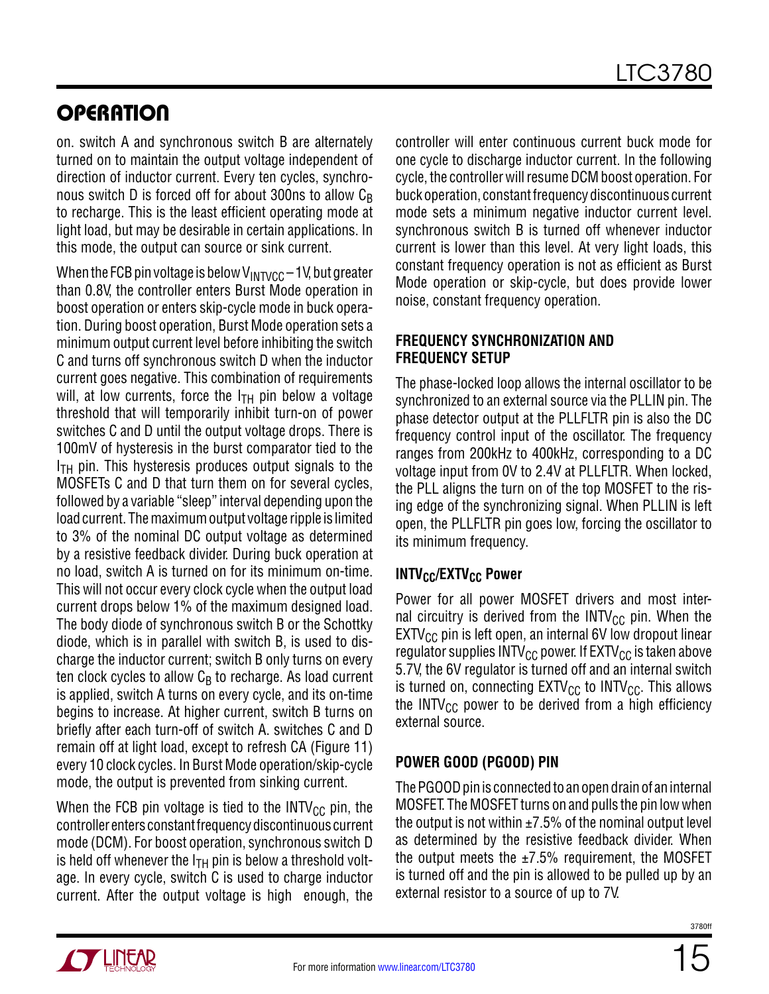# **OPERATION**

on. switch A and synchronous switch B are alternately turned on to maintain the output voltage independent of direction of inductor current. Every ten cycles, synchronous switch D is forced off for about 300ns to allow CR to recharge. This is the least efficient operating mode at light load, but may be desirable in certain applications. In this mode, the output can source or sink current.

When the FCB pin voltage is below  $V_{\text{INTVCC}} - 1$ V, but greater than 0.8V, the controller enters Burst Mode operation in boost operation or enters skip-cycle mode in buck operation. During boost operation, Burst Mode operation sets a minimum output current level before inhibiting the switch C and turns off synchronous switch D when the inductor current goes negative. This combination of requirements will, at low currents, force the  $I<sub>TH</sub>$  pin below a voltage threshold that will temporarily inhibit turn-on of power switches C and D until the output voltage drops. There is 100mV of hysteresis in the burst comparator tied to the  $I<sub>TH</sub>$  pin. This hysteresis produces output signals to the MOSFETs C and D that turn them on for several cycles, followed by a variable "sleep" interval depending upon the load current. The maximum output voltage ripple is limited to 3% of the nominal DC output voltage as determined by a resistive feedback divider. During buck operation at no load, switch A is turned on for its minimum on-time. This will not occur every clock cycle when the output load current drops below 1% of the maximum designed load. The body diode of synchronous switch B or the Schottky diode, which is in parallel with switch B, is used to discharge the inductor current; switch B only turns on every ten clock cycles to allow  $C_B$  to recharge. As load current is applied, switch A turns on every cycle, and its on-time begins to increase. At higher current, switch B turns on briefly after each turn-off of switch A. switches C and D remain off at light load, except to refresh CA (Figure 11) every 10 clock cycles. In Burst Mode operation/skip-cycle mode, the output is prevented from sinking current.

When the FCB pin voltage is tied to the INTV<sub>CC</sub> pin, the controller enters constant frequency discontinuous current mode (DCM). For boost operation, synchronous switch D is held off whenever the  $I<sub>TH</sub>$  pin is below a threshold voltage. In every cycle, switch C is used to charge inductor current. After the output voltage is high enough, the controller will enter continuous current buck mode for one cycle to discharge inductor current. In the following cycle, the controller will resume DCM boost operation. For buck operation, constant frequency discontinuous current mode sets a minimum negative inductor current level. synchronous switch B is turned off whenever inductor current is lower than this level. At very light loads, this constant frequency operation is not as efficient as Burst Mode operation or skip-cycle, but does provide lower noise, constant frequency operation.

#### **Frequency Synchronization and Frequency Setup**

The phase-locked loop allows the internal oscillator to be synchronized to an external source via the PLLIN pin. The phase detector output at the PLLFLTR pin is also the DC frequency control input of the oscillator. The frequency ranges from 200kHz to 400kHz, corresponding to a DC voltage input from 0V to 2.4V at PLLFLTR. When locked, the PLL aligns the turn on of the top MOSFET to the rising edge of the synchronizing signal. When PLLIN is left open, the PLLFLTR pin goes low, forcing the oscillator to its minimum frequency.

### **INTV<sub>CC</sub>/EXTV<sub>CC</sub> Power**

Power for all power MOSFET drivers and most internal circuitry is derived from the  $INTV_{CC}$  pin. When the  $EXTV_{CC}$  pin is left open, an internal 6V low dropout linear regulator supplies INTV<sub>CC</sub> power. If  $EXTV_{CC}$  is taken above 5.7V, the 6V regulator is turned off and an internal switch is turned on, connecting  $\text{EXTV}_{\text{CC}}$  to  $\text{INTV}_{\text{CC}}$ . This allows the INTV<sub>CC</sub> power to be derived from a high efficiency external source.

#### **Power Good (PGOOD) Pin**

The PGOOD pin is connected to an open drain of an internal MOSFET. The MOSFET turns on and pulls the pin low when the output is not within  $\pm$ 7.5% of the nominal output level as determined by the resistive feedback divider. When the output meets the  $\pm 7.5\%$  requirement, the MOSFET is turned off and the pin is allowed to be pulled up by an external resistor to a source of up to 7V.

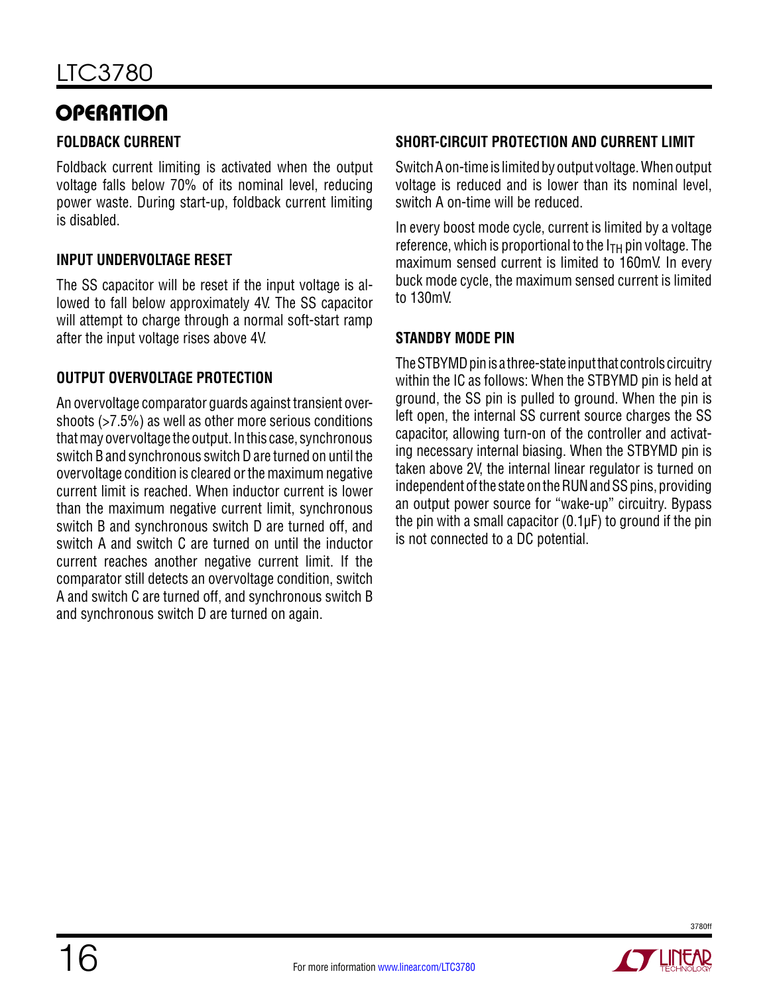# **OPERATION**

#### **Foldback Current**

Foldback current limiting is activated when the output voltage falls below 70% of its nominal level, reducing power waste. During start-up, foldback current limiting is disabled.

#### **Input Undervoltage Reset**

The SS capacitor will be reset if the input voltage is allowed to fall below approximately 4V. The SS capacitor will attempt to charge through a normal soft-start ramp after the input voltage rises above 4V.

#### **Output Overvoltage Protection**

An overvoltage comparator guards against transient overshoots (>7.5%) as well as other more serious conditions that may overvoltage the output. In this case, synchronous switch B and synchronous switch D are turned on until the overvoltage condition is cleared or the maximum negative current limit is reached. When inductor current is lower than the maximum negative current limit, synchronous switch B and synchronous switch D are turned off, and switch A and switch C are turned on until the inductor current reaches another negative current limit. If the comparator still detects an overvoltage condition, switch A and switch C are turned off, and synchronous switch B and synchronous switch D are turned on again.

#### **Short-Circuit Protection and Current Limit**

Switch A on-time is limited by output voltage. When output voltage is reduced and is lower than its nominal level, switch A on-time will be reduced.

In every boost mode cycle, current is limited by a voltage reference, which is proportional to the  $I_{TH}$  pin voltage. The maximum sensed current is limited to 160mV. In every buck mode cycle, the maximum sensed current is limited to 130mV.

#### **Standby mode Pin**

The STBYMD pin is a three-state input that controls circuitry within the IC as follows: When the STBYMD pin is held at ground, the SS pin is pulled to ground. When the pin is left open, the internal SS current source charges the SS capacitor, allowing turn-on of the controller and activating necessary internal biasing. When the STBYMD pin is taken above 2V, the internal linear regulator is turned on independent of the state on the RUN and SS pins, providing an output power source for "wake-up" circuitry. Bypass the pin with a small capacitor  $(0.1 \mu F)$  to ground if the pin is not connected to a DC potential.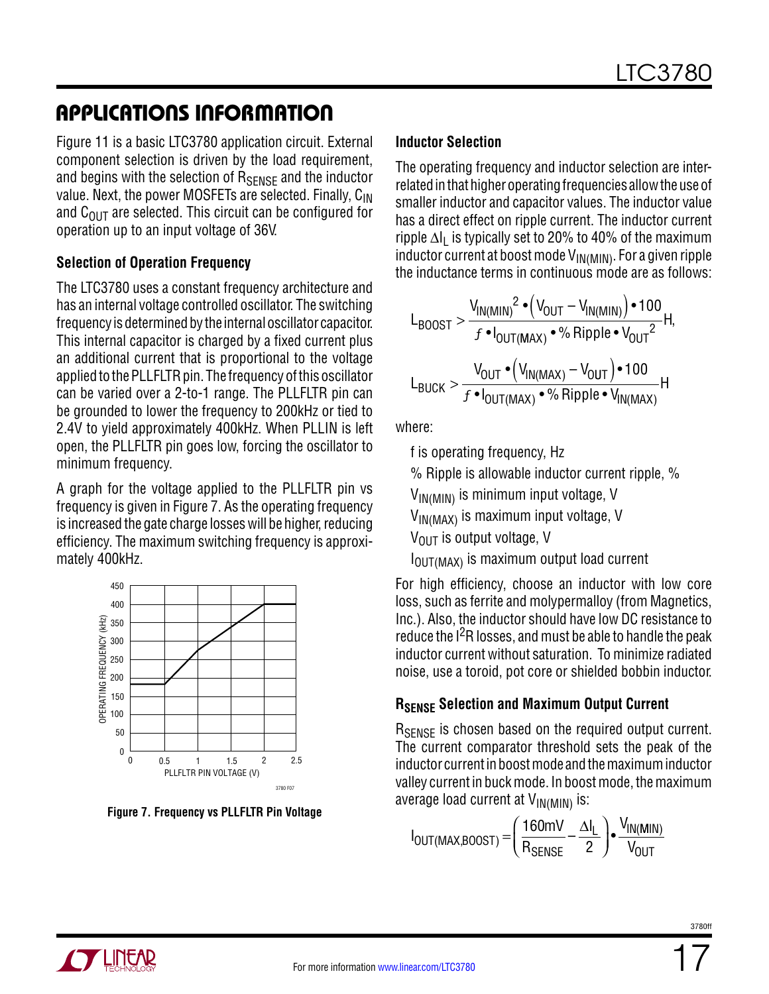## Applications Information

Figure 11 is a basic LTC3780 application circuit. External component selection is driven by the load requirement, and begins with the selection of  $R_{\text{SFNSF}}$  and the inductor value. Next, the power MOSFETs are selected. Finally, C<sub>IN</sub> and  $C_{\text{OUT}}$  are selected. This circuit can be configured for operation up to an input voltage of 36V.

#### **Selection of Operation Frequency**

The LTC3780 uses a constant frequency architecture and has an internal voltage controlled oscillator. The switching frequency is determined by the internal oscillator capacitor. This internal capacitor is charged by a fixed current plus an additional current that is proportional to the voltage applied to the PLLFLTR pin. The frequency of this oscillator can be varied over a 2-to-1 range. The PLLFLTR pin can be grounded to lower the frequency to 200kHz or tied to 2.4V to yield approximately 400kHz. When PLLIN is left open, the PLLFLTR pin goes low, forcing the oscillator to minimum frequency.

A graph for the voltage applied to the PLLFLTR pin vs frequency is given in Figure 7. As the operating frequency is increased the gate charge losses will be higher, reducing efficiency. The maximum switching frequency is approximately 400kHz.



**Figure 7. Frequency vs PLLFLTR Pin Voltage**

#### **Inductor Selection**

The operating frequency and inductor selection are interrelated in that higher operating frequencies allow the use of smaller inductor and capacitor values. The inductor value has a direct effect on ripple current. The inductor current ripple  $\Delta I_1$  is typically set to 20% to 40% of the maximum inductor current at boost mode  $V_{IN(MIN)}$ . For a given ripple the inductance terms in continuous mode are as follows:

$$
L_{\text{BOOST}} > \frac{V_{\text{IN(MIN)}}^2 \cdot \left(V_{\text{OUT}} - V_{\text{IN(MIN)}}\right) \cdot 100}{f \cdot I_{\text{OUT}(MAX)} \cdot \% \text{ Ripple} \cdot V_{\text{OUT}}^2} H,
$$
  

$$
L_{\text{BUCK}} > \frac{V_{\text{OUT}} \cdot \left(V_{\text{IN(MAX)}} - V_{\text{OUT}}\right) \cdot 100}{f \cdot I_{\text{OUT}(MAX)}} \cdot \% \text{ Ripple} \cdot V_{\text{IN(MAX)}} H
$$

where:

f is operating frequency, Hz

% Ripple is allowable inductor current ripple, %

 $V_{IN(MIN)}$  is minimum input voltage, V

 $V_{IN(MAX)}$  is maximum input voltage, V

 $V_{\text{OUT}}$  is output voltage, V

 $I<sub>OUT(MAX)</sub>$  is maximum output load current

For high efficiency, choose an inductor with low core loss, such as ferrite and molypermalloy (from Magnetics, Inc.). Also, the inductor should have low DC resistance to reduce the  $1<sup>2</sup>R$  losses, and must be able to handle the peak inductor current without saturation. To minimize radiated noise, use a toroid, pot core or shielded bobbin inductor.

### **RSENSE Selection and Maximum Output Current**

R<sub>SFNSF</sub> is chosen based on the required output current. The current comparator threshold sets the peak of the inductor current in boost mode and the maximum inductor valley current in buck mode. In boost mode, the maximum average load current at  $V_{IN(MIN)}$  is:

$$
I_{OUT(MAX,BOOST)} = \left(\frac{160mV}{R_{SENSE}} - \frac{\Delta I_L}{2}\right) \cdot \frac{V_{IN(MIN)}}{V_{OUT}}
$$

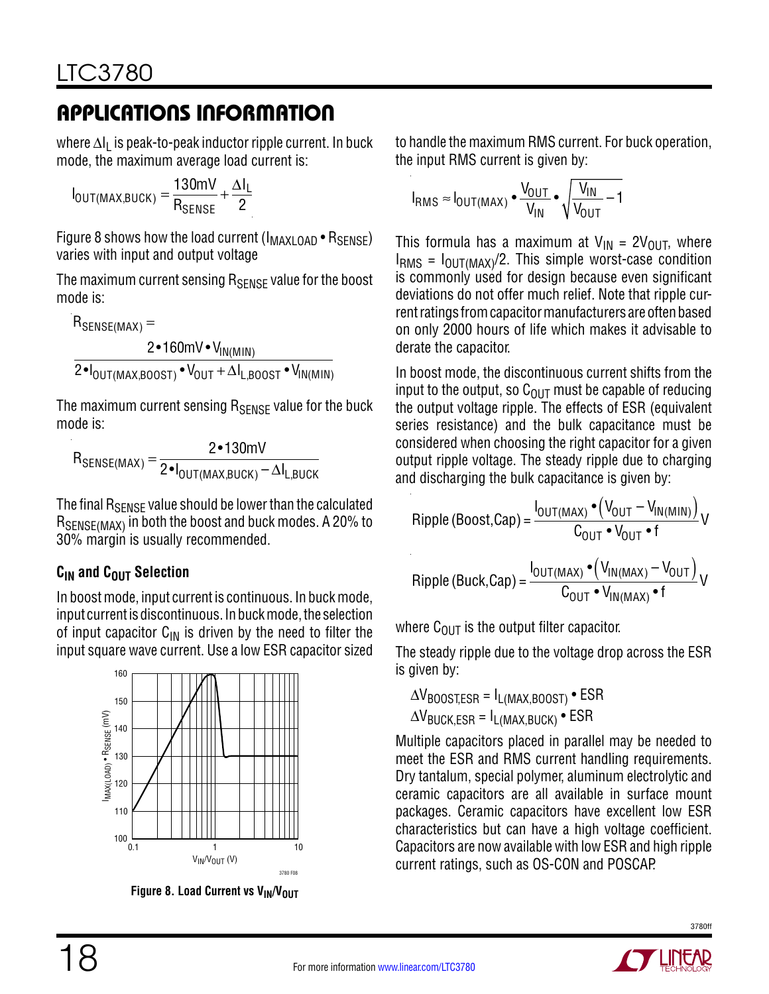where ∆I<sub>L</sub> is peak-to-peak inductor ripple current. In buck mode, the maximum average load current is:

 $I_{\text{OUT}(\text{MAX},\text{BUCK})} = \frac{130\text{mV}}{\text{P}}$  ${\sf R}_{\sf SENSE}$  $+\frac{\Delta I_L}{2}$ 2

Figure 8 shows how the load current (I<sub>MAXLOAD</sub> • R<sub>SENSE</sub>) varies with input and output voltage

The maximum current sensing  $R_{\text{SENSF}}$  value for the boost mode is:

 $R_{\text{SENSE}(\text{MAX})} =$ 2•160mV • V<sub>IN(MIN)</sub>  $2\text{-}I_\mathsf{OUT(MAX,BOOST)}\text{-}\mathsf{V}_\mathsf{OUT}+\Delta I_\mathsf{L,BOOST}\text{-}\mathsf{V}_\mathsf{IN(MIN)}$ 

The maximum current sensing  $R_{\text{SENSE}}$  value for the buck mode is:

 $R_{\sf SENSE (MAX)} = \frac{2 \cdot 130 \text{mV}}{2 \cdot I_{\sf OUT (MAX, BICK)} - \Delta I_{\sf L, Buck}}$ 

The final R<sub>SENSE</sub> value should be lower than the calculated RSENSE(MAX) in both the boost and buck modes. A 20% to 30% margin is usually recommended.

### $C<sub>IN</sub>$  and  $C<sub>OUT</sub>$  Selection

In boost mode, input current is continuous. In buck mode, input current is discontinuous. In buck mode, the selection of input capacitor  $C_{1N}$  is driven by the need to filter the input square wave current. Use a low ESR capacitor sized



**Figure 8. Load Current vs VIN/VOUT** 

to handle the maximum RMS current. For buck operation, the input RMS current is given by:

$$
I_{RMS} \approx I_{OUT(MAX)} \bullet \frac{V_{OUT}}{V_{IN}} \bullet \sqrt{\frac{V_{IN}}{V_{OUT}}-1}
$$

This formula has a maximum at  $V_{IN} = 2V_{OUT}$ , where  $I<sub>RMS</sub> = I<sub>OUT(MAX)</sub>/2$ . This simple worst-case condition is commonly used for design because even significant deviations do not offer much relief. Note that ripple current ratings from capacitor manufacturers are often based on only 2000 hours of life which makes it advisable to derate the capacitor.

In boost mode, the discontinuous current shifts from the input to the output, so  $C_{\text{OUT}}$  must be capable of reducing the output voltage ripple. The effects of ESR (equivalent series resistance) and the bulk capacitance must be considered when choosing the right capacitor for a given output ripple voltage. The steady ripple due to charging and discharging the bulk capacitance is given by:

$$
\text{Ripple (Boost, Cap)} = \frac{I_{\text{OUT}(MAX)} \cdot (V_{\text{OUT}} - V_{\text{IN}(MIN)})}{C_{\text{OUT}} \cdot V_{\text{OUT}} \cdot f} V
$$
\n
$$
\text{Ripple (Buck, Cap)} = \frac{I_{\text{OUT}(MAX)} \cdot (V_{\text{IN}(MAX)} - V_{\text{OUT}})}{C_{\text{OUT}} \cdot V_{\text{IN}(MAX)}} \cdot f}
$$

where  $C_{\text{OUT}}$  is the output filter capacitor.

The steady ripple due to the voltage drop across the ESR is given by:

 $\Delta V_{\text{BOOST,ESR}} = I_{\text{L(MAX,BOOST)}}$  • ESR  $\Delta V_{\text{BUGK,ESR}} = I_{\text{L(MAX,BUGK)}}$  • ESR

Multiple capacitors placed in parallel may be needed to meet the ESR and RMS current handling requirements. Dry tantalum, special polymer, aluminum electrolytic and ceramic capacitors are all available in surface mount packages. Ceramic capacitors have excellent low ESR characteristics but can have a high voltage coefficient. Capacitors are now available with low ESR and high ripple  $V_{\text{IN}}V_{\text{OUT}}(V)$  current ratings, such as OS-CON and POSCAP.

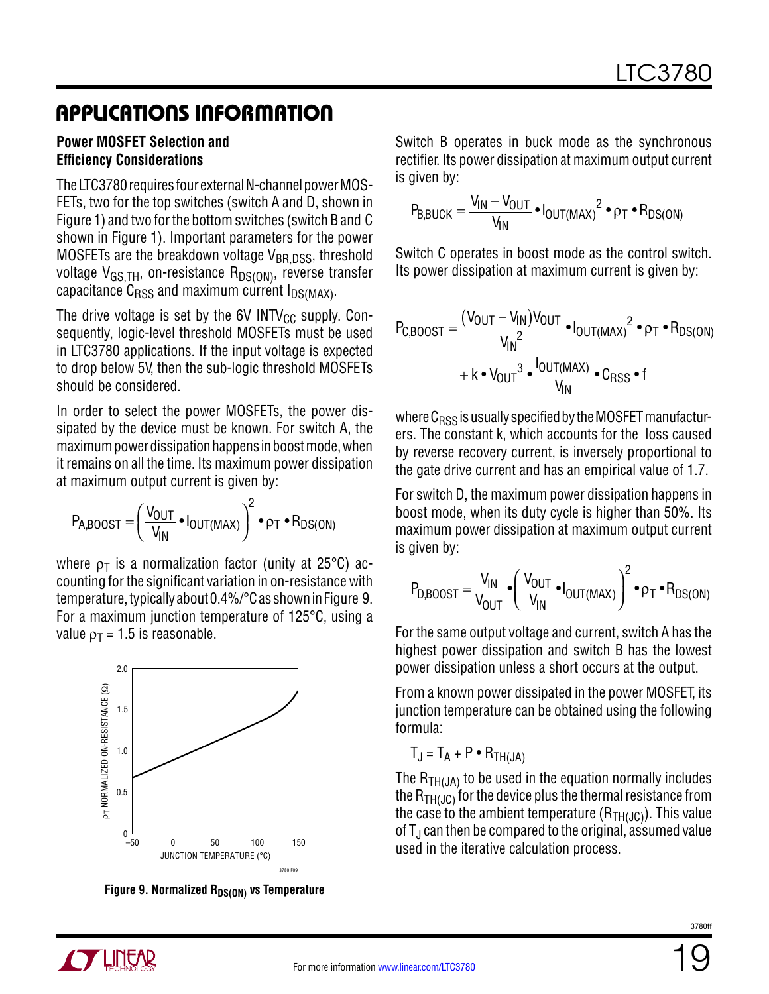#### **Power MOSFET Selection and Efficiency Considerations**

The LTC3780 requires four external N-channel power MOS-FETs, two for the top switches (switch A and D, shown in Figure 1) and two for the bottom switches (switch B and C shown in Figure 1). Important parameters for the power MOSFETs are the breakdown voltage  $V_{BR, DSS}$ , threshold voltage  $V_{GS,TH}$ , on-resistance  $R_{DS(ON)}$ , reverse transfer capacitance  $C_{RSS}$  and maximum current  $I_{DS(MAX)}$ .

The drive voltage is set by the 6V INTV<sub>CC</sub> supply. Consequently, logic-level threshold MOSFETs must be used in LTC3780 applications. If the input voltage is expected to drop below 5V, then the sub-logic threshold MOSFETs should be considered.

In order to select the power MOSFETs, the power dissipated by the device must be known. For switch A, the maximum power dissipation happens in boost mode, when it remains on all the time. Its maximum power dissipation at maximum output current is given by:

$$
P_{A,BOOST} = \left(\frac{V_{OUT}}{V_{IN}} \cdot I_{OUT(MAX)}\right)^2 \cdot p_T \cdot R_{DS(ON)}
$$

where  $\rho_T$  is a normalization factor (unity at 25°C) accounting for the significant variation in on-resistance with temperature, typically about 0.4%/°C as shown in Figure 9. For a maximum junction temperature of 125°C, using a value  $p_T = 1.5$  is reasonable.



Figure 9. Normalized R<sub>DS(ON)</sub> vs Temperature

Switch B operates in buck mode as the synchronous rectifier. Its power dissipation at maximum output current is given by:

$$
P_{B,BUCK} = \frac{V_{IN} - V_{OUT}}{V_{IN}} \cdot I_{OUT(MAX)}^2 \cdot \rho_T \cdot R_{DS(ON)}
$$

Switch C operates in boost mode as the control switch. Its power dissipation at maximum current is given by:

$$
P_{C,BOOST} = \frac{(V_{OUT} - V_{IN})V_{OUT}}{V_{IN}^{2}} \cdot I_{OUT(MAX)}^{2} \cdot \rho_{T} \cdot R_{DS(ON)} + k \cdot V_{OUT}^{3} \cdot \frac{I_{OUT(MAX)}}{V_{IN}} \cdot C_{RSS} \cdot f
$$

where  $C<sub>RSS</sub>$  is usually specified by the MOSFET manufacturers. The constant k, which accounts for the loss caused by reverse recovery current, is inversely proportional to the gate drive current and has an empirical value of 1.7.

For switch D, the maximum power dissipation happens in boost mode, when its duty cycle is higher than 50%. Its maximum power dissipation at maximum output current is given by:

$$
P_{D,BOOST} = \frac{V_{IN}}{V_{OUT}} \cdot \left(\frac{V_{OUT}}{V_{IN}} \cdot I_{OUT(MAX)}\right)^2 \cdot \rho_T \cdot R_{DS(ON)}
$$

For the same output voltage and current, switch A has the highest power dissipation and switch B has the lowest power dissipation unless a short occurs at the output.

From a known power dissipated in the power MOSFET, its junction temperature can be obtained using the following formula:

 $T_{\rm J} = T_{\rm A} + P \cdot R_{\rm TH(LIA)}$ 

The  $R_{TH(JA)}$  to be used in the equation normally includes the  $R_{TH(1)C}$  for the device plus the thermal resistance from the case to the ambient temperature  $(R<sub>TH(JC)</sub>)$ . This value of  $T_J$  can then be compared to the original, assumed value USED 100 150 USED in the iterative calculation process.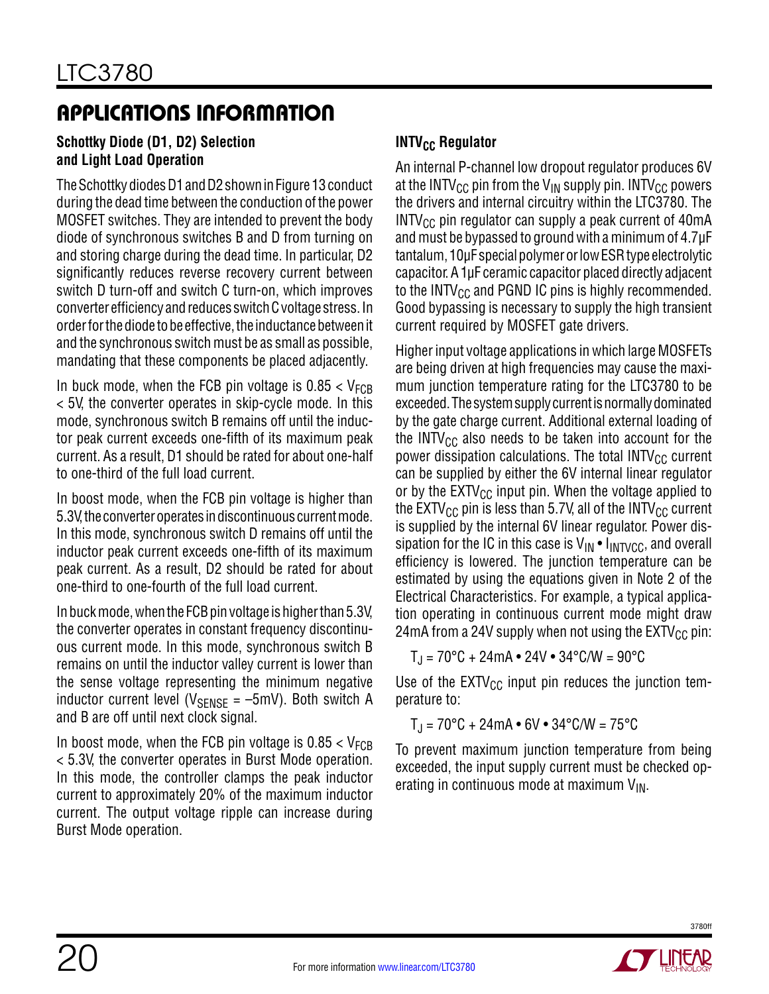#### **Schottky Diode (D1, D2) Selection and Light Load Operation**

The Schottky diodes D1 and D2 shown in Figure 13 conduct during the dead time between the conduction of the power MOSFET switches. They are intended to prevent the body diode of synchronous switches B and D from turning on and storing charge during the dead time. In particular, D2 significantly reduces reverse recovery current between switch D turn-off and switch C turn-on, which improves converter efficiency and reduces switch C voltage stress. In order for the diode to be effective, the inductance between it and the synchronous switch must be as small as possible, mandating that these components be placed adjacently.

In buck mode, when the FCB pin voltage is  $0.85 < V_{FCB}$ < 5V, the converter operates in skip-cycle mode. In this mode, synchronous switch B remains off until the inductor peak current exceeds one-fifth of its maximum peak current. As a result, D1 should be rated for about one-half to one-third of the full load current.

In boost mode, when the FCB pin voltage is higher than 5.3V, the converter operates in discontinuous current mode. In this mode, synchronous switch D remains off until the inductor peak current exceeds one-fifth of its maximum peak current. As a result, D2 should be rated for about one-third to one-fourth of the full load current.

In buck mode, when the FCB pin voltage is higher than 5.3V, the converter operates in constant frequency discontinuous current mode. In this mode, synchronous switch B remains on until the inductor valley current is lower than the sense voltage representing the minimum negative inductor current level ( $V_{\text{SENSF}} = -5$ mV). Both switch A and B are off until next clock signal.

In boost mode, when the FCB pin voltage is  $0.85 < V_{\text{FCB}}$ < 5.3V, the converter operates in Burst Mode operation. In this mode, the controller clamps the peak inductor current to approximately 20% of the maximum inductor current. The output voltage ripple can increase during Burst Mode operation.

### **INTV<sub>CC</sub> Regulator**

An internal P-channel low dropout regulator produces 6V at the INTV<sub>CC</sub> pin from the V<sub>IN</sub> supply pin. INTV<sub>CC</sub> powers the drivers and internal circuitry within the LTC3780. The  $INTV_{CC}$  pin regulator can supply a peak current of 40mA and must be bypassed to ground with a minimum of 4.7µF tantalum, 10µF special polymer or low ESR type electrolytic capacitor. A 1µF ceramic capacitor placed directly adjacent to the INTV<sub>CC</sub> and PGND IC pins is highly recommended. Good bypassing is necessary to supply the high transient current required by MOSFET gate drivers.

Higher input voltage applications in which large MOSFETs are being driven at high frequencies may cause the maximum junction temperature rating for the LTC3780 to be exceeded. The system supply current is normally dominated by the gate charge current. Additional external loading of the INTV<sub>CC</sub> also needs to be taken into account for the power dissipation calculations. The total  $INTV_{CC}$  current can be supplied by either the 6V internal linear regulator or by the  $EXTV_{CC}$  input pin. When the voltage applied to the EXTV<sub>CC</sub> pin is less than 5.7V, all of the INTV<sub>CC</sub> current is supplied by the internal 6V linear regulator. Power dissipation for the IC in this case is  $V_{IN} \cdot I_{INTVCC}$ , and overall efficiency is lowered. The junction temperature can be estimated by using the equations given in Note 2 of the Electrical Characteristics. For example, a typical application operating in continuous current mode might draw 24mA from a 24V supply when not using the  $EXT_{CC}$  pin:

 $T_{\rm J}$  = 70°C + 24mA • 24V • 34°C/W = 90°C

Use of the  $EXTV_{CC}$  input pin reduces the junction temperature to:

$$
T_J = 70^{\circ}C + 24mA \bullet 6V \bullet 34^{\circ}C/W = 75^{\circ}C
$$

To prevent maximum junction temperature from being exceeded, the input supply current must be checked operating in continuous mode at maximum  $V_{IN}$ .

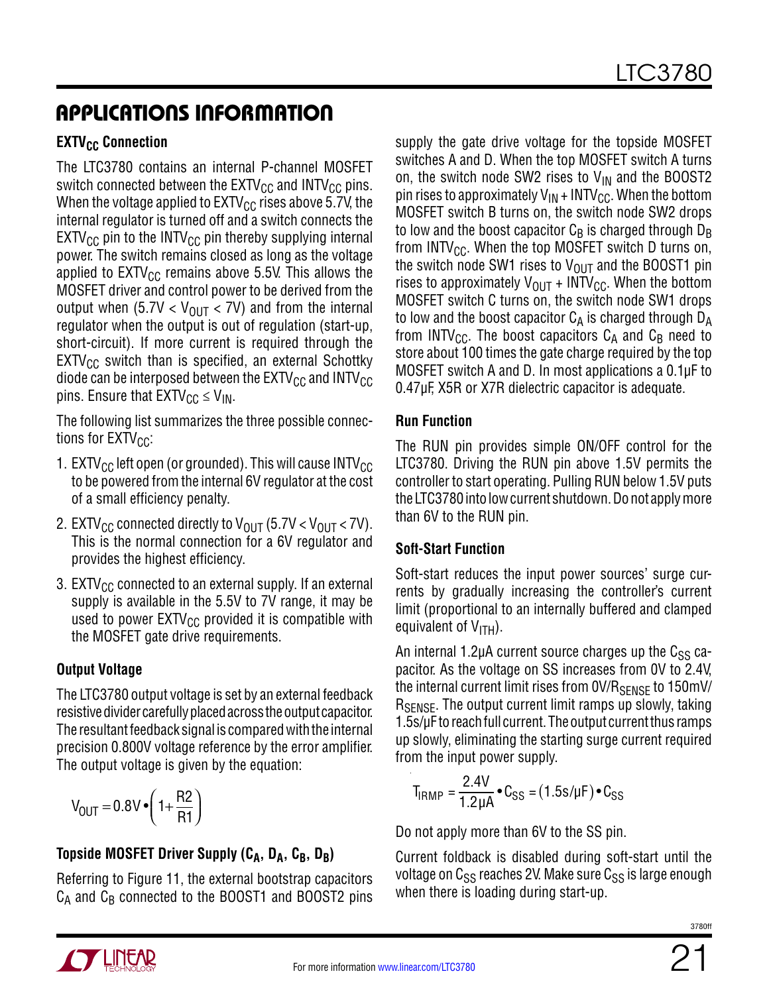### **EXTV<sub>CC</sub>** Connection

The LTC3780 contains an internal P-channel MOSFET switch connected between the  $\text{EXTV}_{\text{CC}}$  and  $\text{INTV}_{\text{CC}}$  pins. When the voltage applied to  $EXTV_{CC}$  rises above 5.7V, the internal regulator is turned off and a switch connects the  $EXT_{CC}$  pin to the INTV<sub>CC</sub> pin thereby supplying internal power. The switch remains closed as long as the voltage applied to  $\text{EXTV}_{\text{CC}}$  remains above 5.5V. This allows the MOSFET driver and control power to be derived from the output when (5.7V  $<$  V<sub>OUT</sub>  $<$  7V) and from the internal regulator when the output is out of regulation (start-up, short-circuit). If more current is required through the  $EXTV_{CC}$  switch than is specified, an external Schottky diode can be interposed between the  $\text{EXTV}_{\text{CC}}$  and  $\text{INTV}_{\text{CC}}$ pins. Ensure that  $EXTV_{CC} \leq V_{IN}$ .

The following list summarizes the three possible connections for  $EXTV_{CC}$ :

- 1. EXTV $_{\rm CC}$  left open (or grounded). This will cause INTV $_{\rm CC}$ to be powered from the internal 6V regulator at the cost of a small efficiency penalty.
- 2. EXTV<sub>CC</sub> connected directly to V<sub>OUT</sub> (5.7V < V<sub>OUT</sub> < 7V). This is the normal connection for a 6V regulator and provides the highest efficiency.
- 3.  $EXTV_{CC}$  connected to an external supply. If an external supply is available in the 5.5V to 7V range, it may be used to power  $E X TV_{CC}$  provided it is compatible with the MOSFET gate drive requirements.

### **Output Voltage**

The LTC3780 output voltage is set by an external feedback resistive divider carefully placed across the output capacitor. The resultant feedback signal is compared with the internal precision 0.800V voltage reference by the error amplifier. The output voltage is given by the equation:

$$
V_{OUT} = 0.8 V \cdot \left(1 + \frac{R2}{R1}\right)
$$

### Topside MOSFET Driver Supply (C<sub>A</sub>, D<sub>A</sub>, C<sub>B</sub>, D<sub>B</sub>)

Referring to Figure 11, the external bootstrap capacitors  $C_A$  and  $C_B$  connected to the BOOST1 and BOOST2 pins

supply the gate drive voltage for the topside MOSFET switches A and D. When the top MOSFET switch A turns on, the switch node SW2 rises to  $V_{IN}$  and the BOOST2 pin rises to approximately  $V_{IN}$  + INTV<sub>CC</sub>. When the bottom MOSFET switch B turns on, the switch node SW2 drops to low and the boost capacitor  $C_B$  is charged through  $D_B$ from INTV $_{\text{CC}}$ . When the top MOSFET switch D turns on, the switch node SW1 rises to  $V_{OUT}$  and the BOOST1 pin rises to approximately  $V_{OUT}$  + INTV<sub>CC</sub>. When the bottom MOSFET switch C turns on, the switch node SW1 drops to low and the boost capacitor  $C_A$  is charged through  $D_A$ from INTV<sub>CC</sub>. The boost capacitors  $C_A$  and  $C_B$  need to store about 100 times the gate charge required by the top MOSFET switch A and D. In most applications a 0.1µF to 0.47µF, X5R or X7R dielectric capacitor is adequate.

#### **Run Function**

The RUN pin provides simple ON/OFF control for the LTC3780. Driving the RUN pin above 1.5V permits the controller to start operating. Pulling RUN below 1.5V puts the LTC3780 into low current shutdown. Do not apply more than 6V to the RUN pin.

#### **Soft-Start Function**

Soft-start reduces the input power sources' surge currents by gradually increasing the controller's current limit (proportional to an internally buffered and clamped equivalent of  $V_{\text{ITH}}$ ).

An internal 1.2 $\mu$ A current source charges up the C<sub>SS</sub> capacitor. As the voltage on SS increases from 0V to 2.4V, the internal current limit rises from 0V/R<sub>SENSE</sub> to 150mV/ R<sub>SENSE</sub>. The output current limit ramps up slowly, taking 1.5s/µF to reach full current. The output current thus ramps up slowly, eliminating the starting surge current required from the input power supply.

$$
T_{IRMP} = \frac{2.4V}{1.2 \mu A} \cdot C_{SS} = (1.5 s/\mu F) \cdot C_{SS}
$$

Do not apply more than 6V to the SS pin.

Current foldback is disabled during soft-start until the voltage on  $C_{SS}$  reaches 2V. Make sure  $C_{SS}$  is large enough when there is loading during start-up.

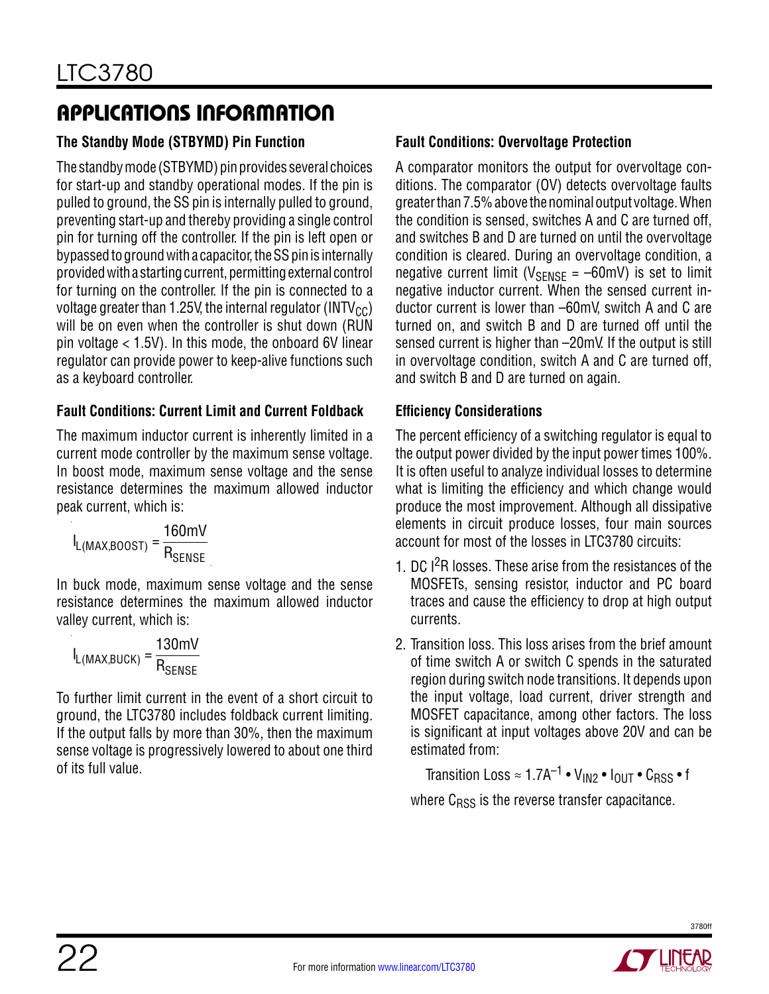### **The Standby Mode (STBYMD) Pin Function**

The standby mode (STBYMD) pin provides several choices for start-up and standby operational modes. If the pin is pulled to ground, the SS pin is internally pulled to ground, preventing start-up and thereby providing a single control pin for turning off the controller. If the pin is left open or bypassed to ground with a capacitor, the SS pin is internally provided with a starting current, permitting external control for turning on the controller. If the pin is connected to a voltage greater than 1.25V, the internal regulator (INTV $_{\text{CC}}$ ) will be on even when the controller is shut down (RUN pin voltage < 1.5V). In this mode, the onboard 6V linear regulator can provide power to keep-alive functions such as a keyboard controller.

#### **Fault Conditions: Current Limit and Current Foldback**

The maximum inductor current is inherently limited in a current mode controller by the maximum sense voltage. In boost mode, maximum sense voltage and the sense resistance determines the maximum allowed inductor peak current, which is:

$$
I_{L(MAX,BOOST)} = \frac{160mV}{R_{SENSE}}
$$

In buck mode, maximum sense voltage and the sense resistance determines the maximum allowed inductor valley current, which is:

$$
I_{L(MAX,BUCK)} = \frac{130mV}{R_{SENSE}}
$$

To further limit current in the event of a short circuit to ground, the LTC3780 includes foldback current limiting. If the output falls by more than 30%, then the maximum sense voltage is progressively lowered to about one third of its full value.

### **Fault Conditions: Overvoltage Protection**

A comparator monitors the output for overvoltage conditions. The comparator (OV) detects overvoltage faults greater than 7.5% above the nominal output voltage. When the condition is sensed, switches A and C are turned off, and switches B and D are turned on until the overvoltage condition is cleared. During an overvoltage condition, a negative current limit ( $V_{\text{SENSE}} = -60$ mV) is set to limit negative inductor current. When the sensed current inductor current is lower than –60mV, switch A and C are turned on, and switch B and D are turned off until the sensed current is higher than –20mV. If the output is still in overvoltage condition, switch A and C are turned off, and switch B and D are turned on again.

### **Efficiency Considerations**

The percent efficiency of a switching regulator is equal to the output power divided by the input power times 100%. It is often useful to analyze individual losses to determine what is limiting the efficiency and which change would produce the most improvement. Although all dissipative elements in circuit produce losses, four main sources account for most of the losses in LTC3780 circuits:

- 1. DC I<sup>2</sup>R losses. These arise from the resistances of the MOSFETs, sensing resistor, inductor and PC board traces and cause the efficiency to drop at high output currents.
- 2. Transition loss. This loss arises from the brief amount of time switch A or switch C spends in the saturated region during switch node transitions. It depends upon the input voltage, load current, driver strength and MOSFET capacitance, among other factors. The loss is significant at input voltages above 20V and can be estimated from:

Transition Loss  $\approx 1.7A^{-1} \cdot V_{1N2} \cdot I_{OUT} \cdot C_{RSS} \cdot f$ where  $C<sub>RSS</sub>$  is the reverse transfer capacitance.

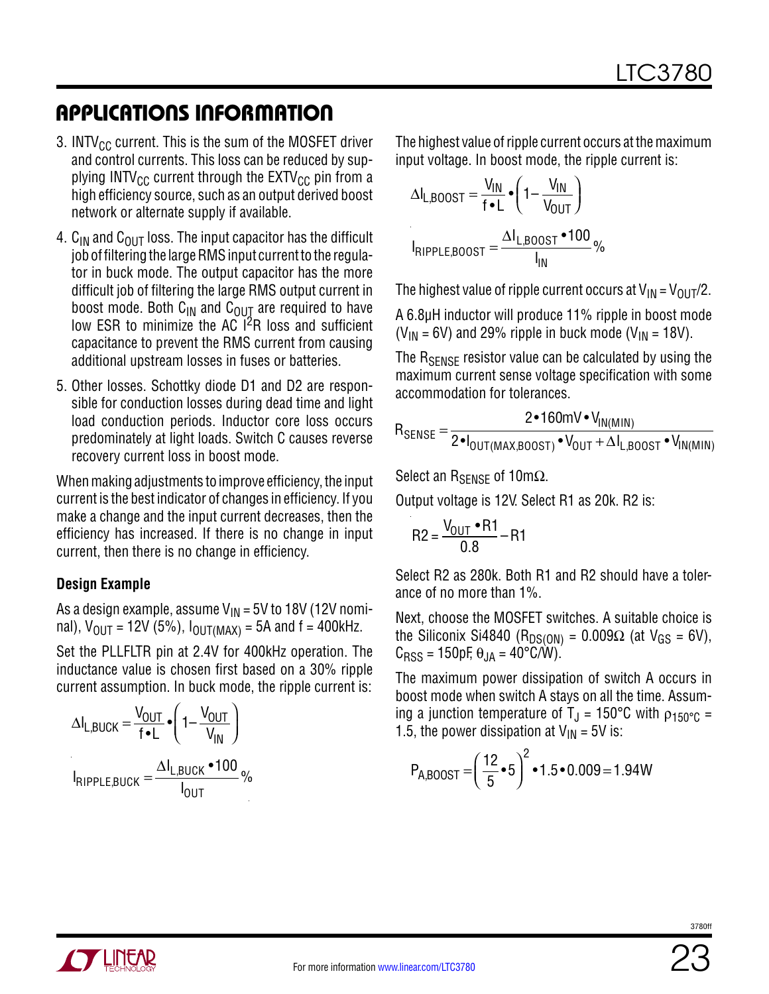- 3. INTV $_{CC}$  current. This is the sum of the MOSFET driver and control currents. This loss can be reduced by supplying INTV<sub>CC</sub> current through the  $EXTV_{CC}$  pin from a high efficiency source, such as an output derived boost network or alternate supply if available.
- 4.  $C_{IN}$  and  $C_{OUT}$  loss. The input capacitor has the difficult job of filtering the large RMS input current to the regulator in buck mode. The output capacitor has the more difficult job of filtering the large RMS output current in boost mode. Both  $C_{IN}$  and  $C_{OUT}$  are required to have low ESR to minimize the AC I<sup>2</sup>R loss and sufficient capacitance to prevent the RMS current from causing additional upstream losses in fuses or batteries.
- 5. Other losses. Schottky diode D1 and D2 are responsible for conduction losses during dead time and light load conduction periods. Inductor core loss occurs predominately at light loads. Switch C causes reverse recovery current loss in boost mode.

When making adjustments to improve efficiency, the input current is the best indicator of changes in efficiency. If you make a change and the input current decreases, then the efficiency has increased. If there is no change in input current, then there is no change in efficiency.

#### **Design Example**

As a design example, assume  $V_{IN}$  = 5V to 18V (12V nominal),  $V_{\text{OUT}} = 12V (5\%)$ ,  $I_{\text{OUT}}(MAX) = 5A$  and  $f = 400kHz$ .

Set the PLLFLTR pin at 2.4V for 400kHz operation. The inductance value is chosen first based on a 30% ripple current assumption. In buck mode, the ripple current is:

$$
\Delta I_{L,BUCK} = \frac{V_{OUT}}{f \cdot L} \cdot \left(1 - \frac{V_{OUT}}{V_{IN}}\right)
$$

$$
I_{RIPPLE,BUCK} = \frac{\Delta I_{L,BUCK} \cdot 100}{I_{OUT}} \%
$$

The highest value of ripple current occurs at the maximum input voltage. In boost mode, the ripple current is:

$$
\Delta I_{L,BOOST} = \frac{V_{IN}}{f \cdot L} \cdot \left(1 - \frac{V_{IN}}{V_{OUT}}\right)
$$

$$
I_{RIPPLE,BOOST} = \frac{\Delta I_{L,BOOST} \cdot 100}{I_{IN}}\%
$$

The highest value of ripple current occurs at  $V_{IN} = V_{OUT}/2$ .

A 6.8µH inductor will produce 11% ripple in boost mode  $(V_{IN} = 6V)$  and 29% ripple in buck mode  $(V_{IN} = 18V)$ .

The R<sub>SFNSF</sub> resistor value can be calculated by using the maximum current sense voltage specification with some accommodation for tolerances.

$$
R_{\text{SENSE}} = \frac{2 \cdot 160 \text{mV} \cdot V_{\text{IN(MIN)}}}{2 \cdot I_{\text{OUT(MAX,BOOST)}} \cdot V_{\text{OUT}} + \Delta I_{\text{L,BOOST}} \cdot V_{\text{IN(MIN)}}}
$$

Select an R<sub>SENSE</sub> of 10m $\Omega$ .

Output voltage is 12V. Select R1 as 20k. R2 is:

$$
R2 = \frac{V_{OUT} \cdot R1}{0.8} - R1
$$

Select R2 as 280k. Both R1 and R2 should have a tolerance of no more than 1%.

Next, choose the MOSFET switches. A suitable choice is the Siliconix Si4840 (R<sub>DS(ON)</sub> =  $0.009\Omega$  (at  $V_{GS} = 6V$ ),  $C<sub>RSS</sub> = 150pF, \theta_{JA} = 40^{\circ}C/W$ ).

The maximum power dissipation of switch A occurs in boost mode when switch A stays on all the time. Assuming a junction temperature of T<sub>J</sub> = 150°C with  $\rho_{150°C}$  = 1.5, the power dissipation at  $V_{IN} = 5V$  is:

$$
P_{A,B00ST} = \left(\frac{12}{5} \cdot 5\right)^2 \cdot 1.5 \cdot 0.009 = 1.94W
$$

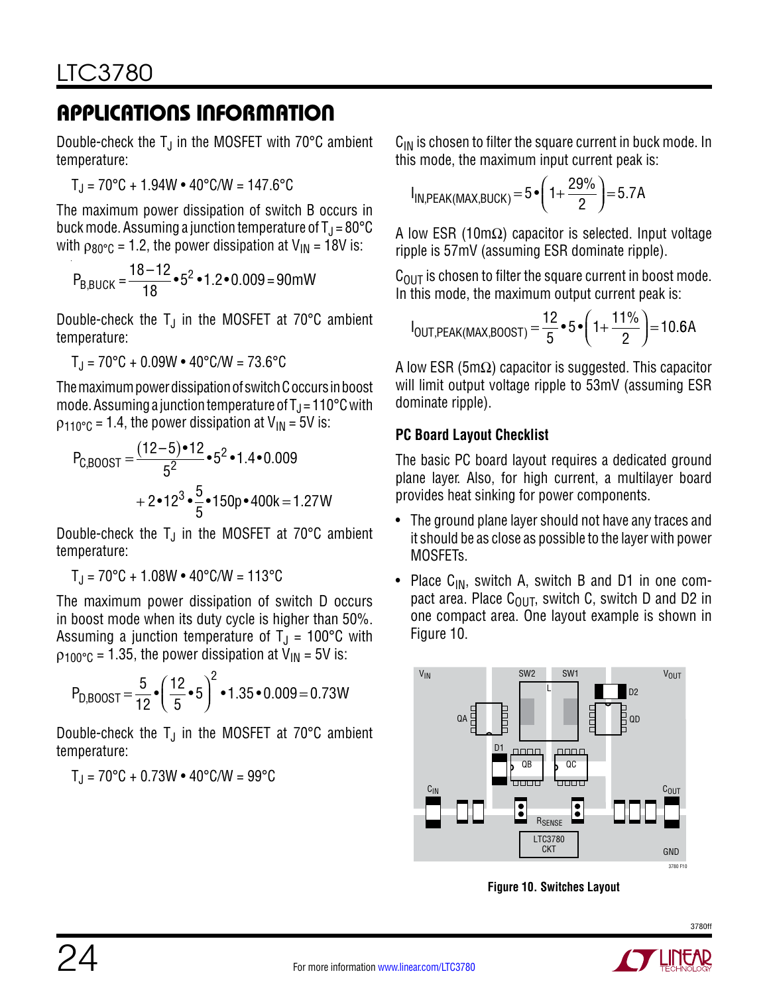Double-check the  $T_J$  in the MOSFET with 70 $\degree$ C ambient temperature:

$$
T_J = 70^{\circ}C + 1.94W \cdot 40^{\circ}C/W = 147.6^{\circ}C
$$

The maximum power dissipation of switch B occurs in buck mode. Assuming a junction temperature of  $T_J = 80^{\circ}C$ with  $\rho_{80^{\circ}C}$  = 1.2, the power dissipation at  $V_{IN}$  = 18V is:

$$
P_{B,BUCK} = \frac{18 - 12}{18} \cdot 5^2 \cdot 1.2 \cdot 0.009 = 90 \text{mW}
$$

Double-check the  $T_J$  in the MOSFET at 70 $\degree$ C ambient temperature:

 $T_{\rm J}$  = 70°C + 0.09W • 40°C/W = 73.6°C

The maximum power dissipation of switch C occurs in boost mode. Assuming a junction temperature of  $T_J = 110^{\circ}$ C with  $p_{110^{\circ}C}$  = 1.4, the power dissipation at  $V_{1N}$  = 5V is:

$$
P_{\text{C,BOOST}} = \frac{(12-5) \cdot 12}{5^2} \cdot 5^2 \cdot 1.4 \cdot 0.009
$$
  
+ 2 \cdot 12^3 \cdot \frac{5}{5} \cdot 150p \cdot 400k = 1.27W

Double-check the  $T_J$  in the MOSFET at 70°C ambient temperature:

 $T_{\rm J}$  = 70°C + 1.08W • 40°C/W = 113°C

The maximum power dissipation of switch D occurs in boost mode when its duty cycle is higher than 50%. Assuming a junction temperature of  $T_{\text{J}}$  = 100°C with  $p_{100^{\circ}C}$  = 1.35, the power dissipation at  $V_{IN}$  = 5V is:

$$
P_{D,B00ST} = \frac{5}{12} \cdot \left(\frac{12}{5} \cdot 5\right)^2 \cdot 1.35 \cdot 0.009 = 0.73W
$$

Double-check the  $T_J$  in the MOSFET at 70 $\degree$ C ambient temperature:

 $T_{\rm J}$  = 70°C + 0.73W • 40°C/W = 99°C

 $C_{\text{IN}}$  is chosen to filter the square current in buck mode. In this mode, the maximum input current peak is:

$$
I_{IN,PEAK(MAX,BUCK)} = 5 \cdot \left(1 + \frac{29\%}{2}\right) = 5.7A
$$

A low ESR (10m $\Omega$ ) capacitor is selected. Input voltage ripple is 57mV (assuming ESR dominate ripple).

 $C_{\text{OUT}}$  is chosen to filter the square current in boost mode. In this mode, the maximum output current peak is:

$$
I_{OUT,PEAK(MAX,BOOST)} = \frac{12}{5} \cdot 5 \cdot \left(1 + \frac{11\%}{2}\right) = 10.6A
$$

A low ESR (5m $\Omega$ ) capacitor is suggested. This capacitor will limit output voltage ripple to 53mV (assuming ESR dominate ripple).

#### **PC Board Layout Checklist**

The basic PC board layout requires a dedicated ground plane layer. Also, for high current, a multilayer board provides heat sinking for power components.

- The ground plane layer should not have any traces and it should be as close as possible to the layer with power MOSFETs.
- Place  $C_{IN}$ , switch A, switch B and D1 in one compact area. Place  $C_{\text{OUT}}$ , switch C, switch D and D2 in one compact area. One layout example is shown in Figure 10.



**Figure 10. Switches Layout**

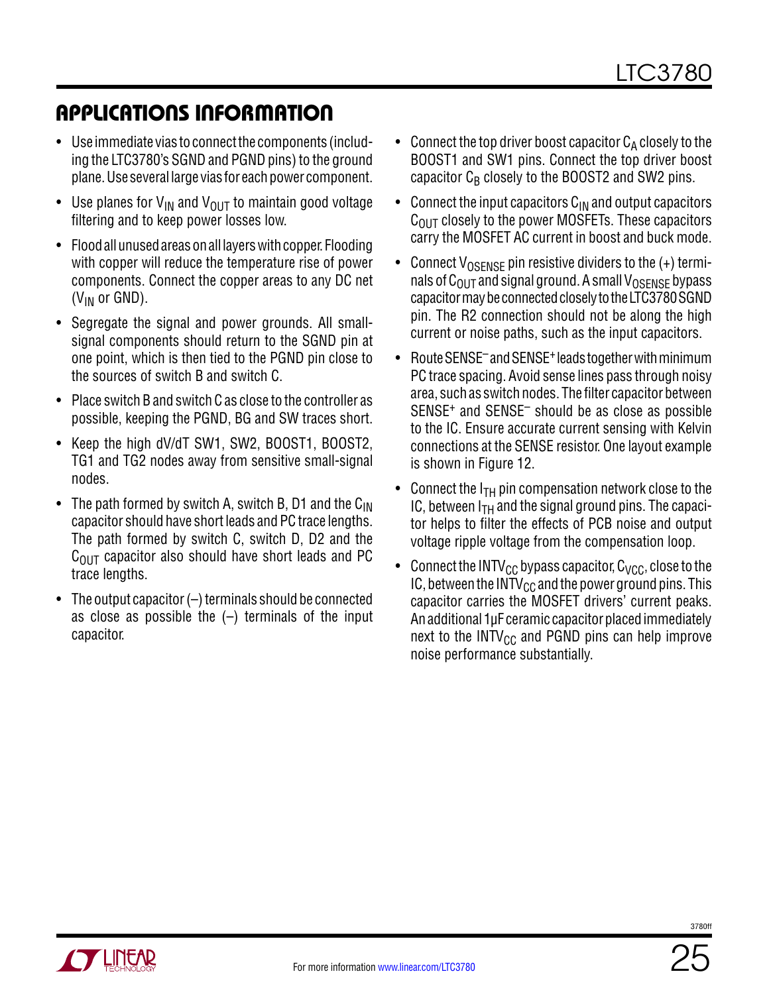- Use immediate vias to connect the components (including the LTC3780's SGND and PGND pins) to the ground plane. Use several large vias for each power component.
- Use planes for  $V_{IN}$  and  $V_{OUIT}$  to maintain good voltage filtering and to keep power losses low.
- Flood all unused areas on all layers with copper. Flooding with copper will reduce the temperature rise of power components. Connect the copper areas to any DC net  $(V_{IN}$  or GND).
- Segregate the signal and power grounds. All smallsignal components should return to the SGND pin at one point, which is then tied to the PGND pin close to the sources of switch B and switch C.
- Place switch B and switch C as close to the controller as possible, keeping the PGND, BG and SW traces short.
- Keep the high dV/dT SW1, SW2, BOOST1, BOOST2, TG1 and TG2 nodes away from sensitive small-signal nodes.
- The path formed by switch A, switch B, D1 and the  $C_{\text{IN}}$ capacitor should have short leads and PC trace lengths. The path formed by switch C, switch D, D2 and the  $C<sub>OIII</sub>$  capacitor also should have short leads and PC trace lengths.
- The output capacitor (–) terminals should be connected as close as possible the  $(-)$  terminals of the input capacitor.
- Connect the top driver boost capacitor  $C_A$  closely to the BOOST1 and SW1 pins. Connect the top driver boost capacitor  $C_B$  closely to the BOOST2 and SW2 pins.
- Connect the input capacitors  $C_{IN}$  and output capacitors  $C<sub>OUT</sub>$  closely to the power MOSFETs. These capacitors carry the MOSFET AC current in boost and buck mode.
- Connect  $V_{OSFNSF}$  pin resistive dividers to the  $(+)$  terminals of  $C_{\text{OUT}}$  and signal ground. A small  $V_{\text{OSENSE}}$  bypass capacitor may be connected closely to the LTC3780 SGND pin. The R2 connection should not be along the high current or noise paths, such as the input capacitors.
- Route SENSE<sup>-</sup> and SENSE<sup>+</sup> leads together with minimum PC trace spacing. Avoid sense lines pass through noisy area, such as switch nodes. The filter capacitor between SENSE+ and SENSE– should be as close as possible to the IC. Ensure accurate current sensing with Kelvin connections at the SENSE resistor. One layout example is shown in Figure 12.
- Connect the  $I<sub>TH</sub>$  pin compensation network close to the IC, between  $I<sub>TH</sub>$  and the signal ground pins. The capacitor helps to filter the effects of PCB noise and output voltage ripple voltage from the compensation loop.
- Connect the INTV<sub>CC</sub> bypass capacitor,  $C_{VCC}$ , close to the IC, between the INTV $_{\rm CC}$  and the power ground pins. This capacitor carries the MOSFET drivers' current peaks. An additional 1µF ceramic capacitor placed immediately next to the  $INTV_{CC}$  and PGND pins can help improve noise performance substantially.

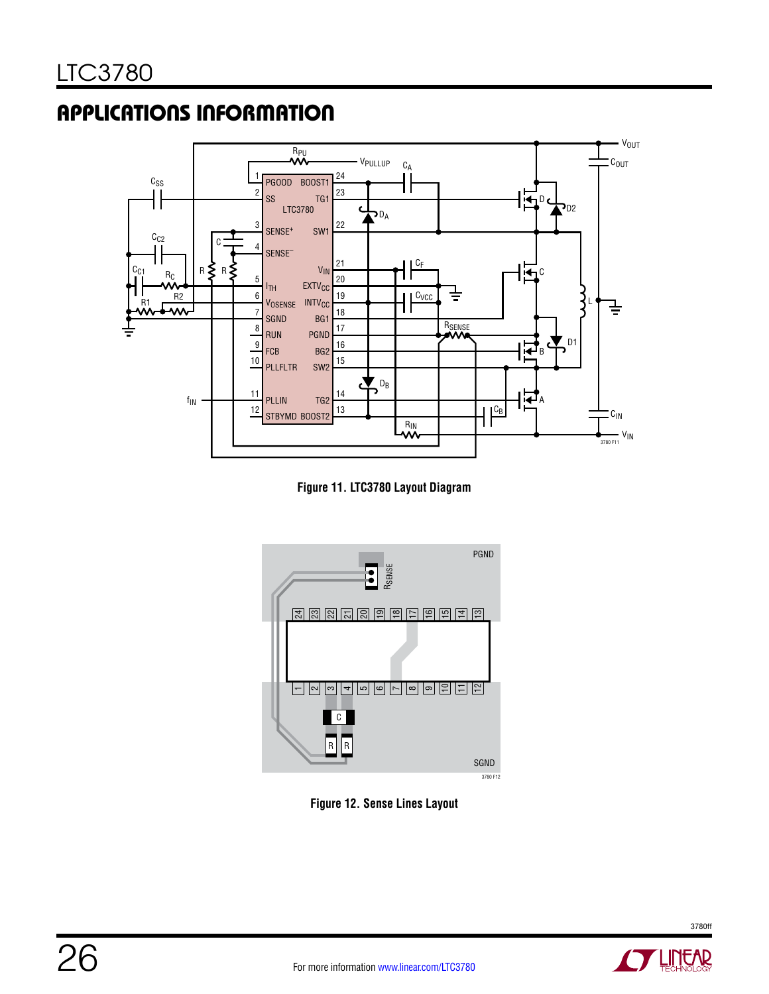

**Figure 11. LTC3780 Layout Diagram**



**Figure 12. Sense Lines Layout**



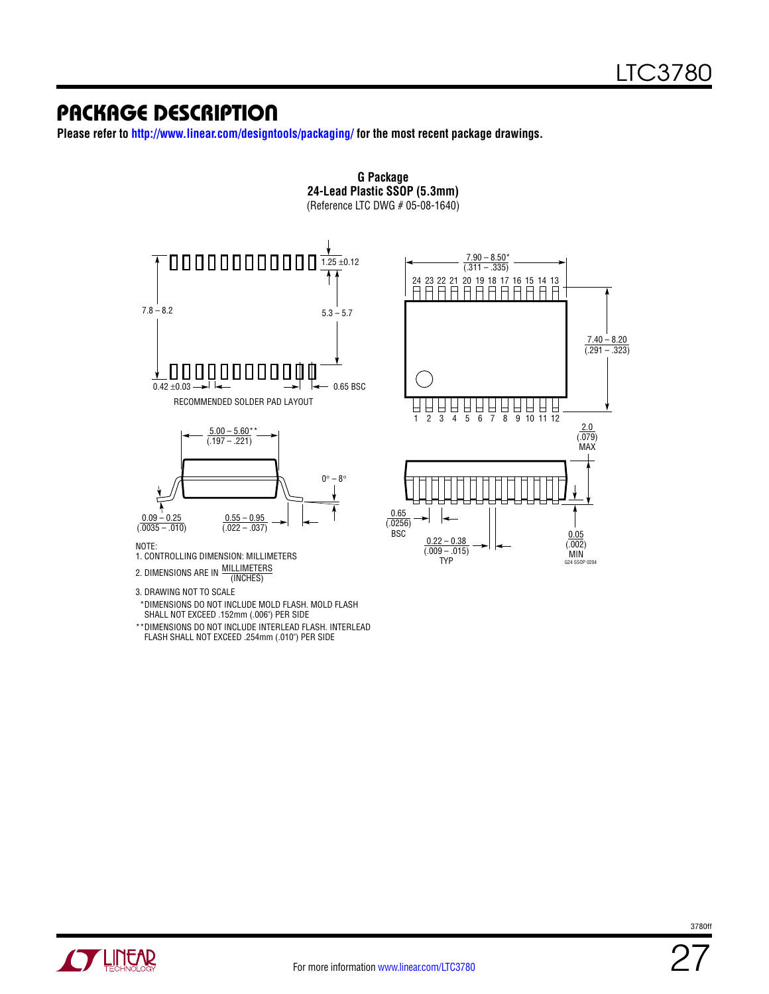### Package Description

**Please refer to http://www.linear.com/designtools/packaging/ for the most recent package drawings.**

**G Package**



DIMENSIONS DO NOT INCLUDE MOLD FLASH. MOLD FLASH \* SHALL NOT EXCEED .152mm (.006") PER SIDE

DIMENSIONS DO NOT INCLUDE INTERLEAD FLASH. INTERLEAD FLASH SHALL NOT EXCEED .254mm (.010") PER SIDE \*\*



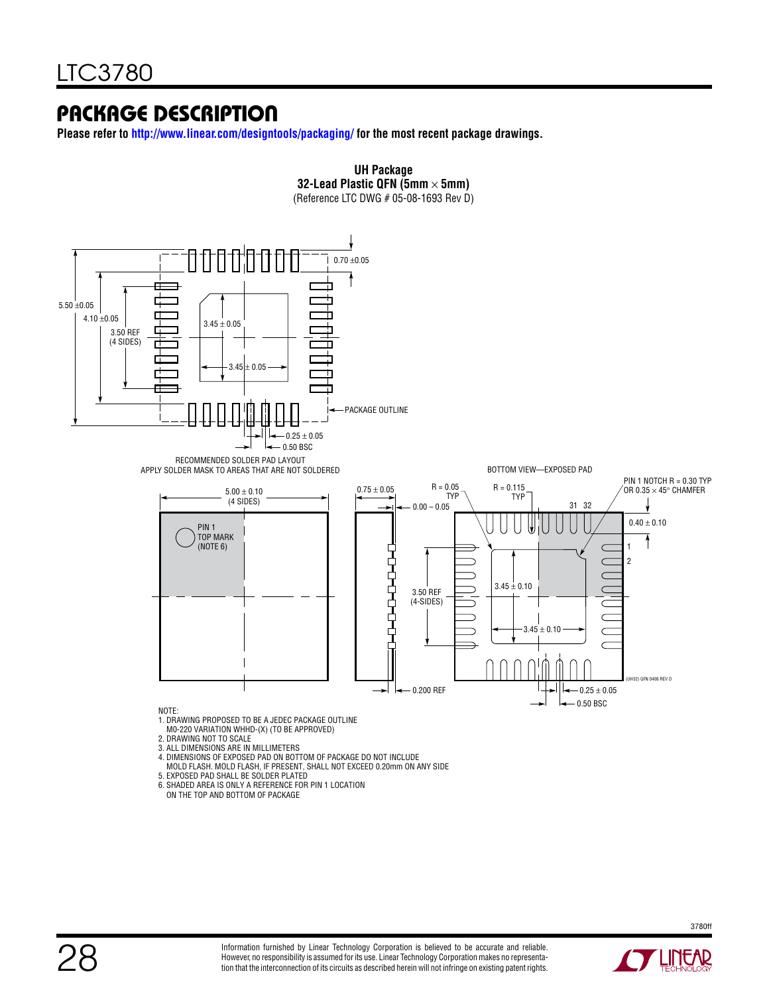### Package Description

**Please refer to http://www.linear.com/designtools/packaging/ for the most recent package drawings.**



28



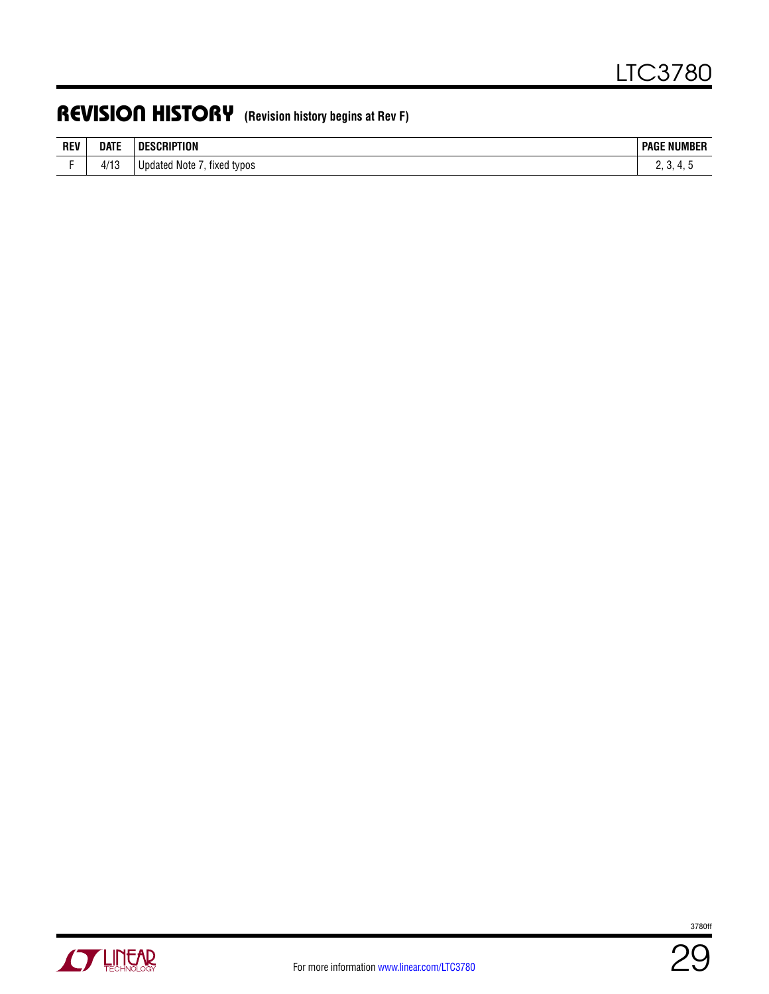### Revision History **(Revision history begins at Rev F)**

| <b>REV</b> | <b>DATE</b> | <b>DESCRIPTION</b> | <b>NUMBER</b> |
|------------|-------------|--------------------|---------------|
|            |             |                    | Page          |
|            |             | Jpdated Note       |               |
| -          | 4/13        | tixed typos        | . .           |